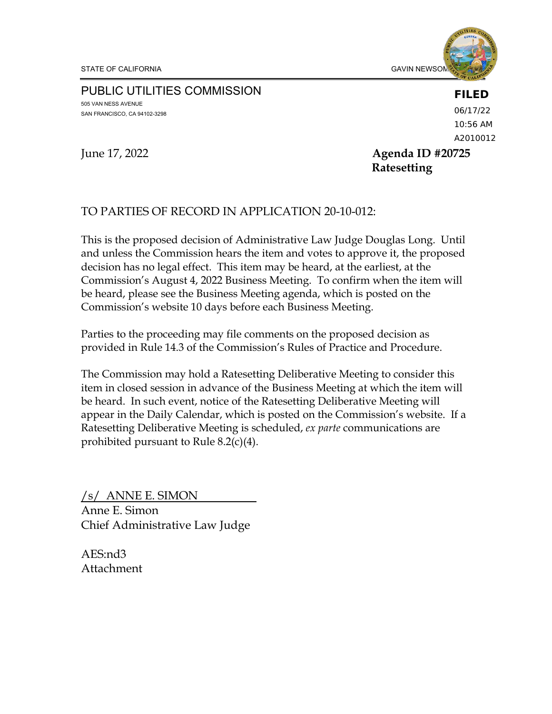

#### PUBLIC UTILITIES COMMISSION 505 VAN NESS AVENUE SAN FRANCISCO, CA 94102-3298

**FILED** 06/17/22 10:56 AM

A2010012

June 17, 2022 **Agenda ID #20725 Ratesetting**

#### TO PARTIES OF RECORD IN APPLICATION 20-10-012:

This is the proposed decision of Administrative Law Judge Douglas Long. Until and unless the Commission hears the item and votes to approve it, the proposed decision has no legal effect. This item may be heard, at the earliest, at the Commission's August 4, 2022 Business Meeting. To confirm when the item will be heard, please see the Business Meeting agenda, which is posted on the Commission's website 10 days before each Business Meeting.

Parties to the proceeding may file comments on the proposed decision as provided in Rule 14.3 of the Commission's Rules of Practice and Procedure.

The Commission may hold a Ratesetting Deliberative Meeting to consider this item in closed session in advance of the Business Meeting at which the item will be heard. In such event, notice of the Ratesetting Deliberative Meeting will appear in the Daily Calendar, which is posted on the Commission's website. If a Ratesetting Deliberative Meeting is scheduled, *ex parte* communications are prohibited pursuant to Rule 8.2(c)(4).

/s/ ANNE E. SIMON Anne E. Simon Chief Administrative Law Judge

AES:nd3 Attachment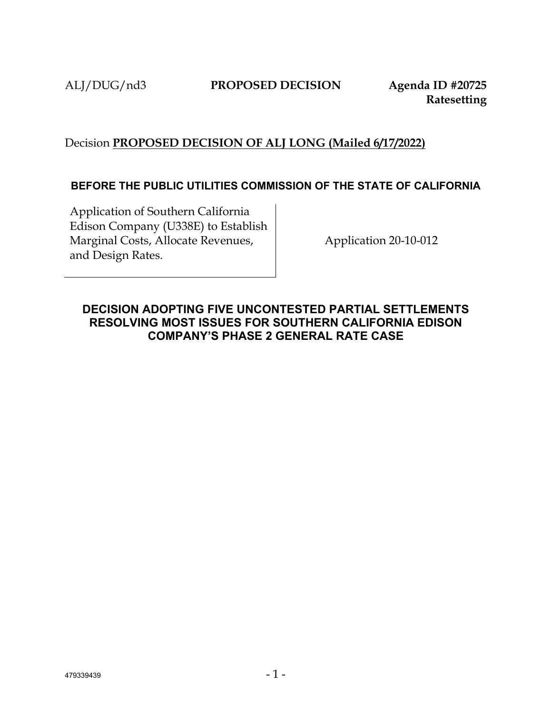ALJ/DUG/nd3 **PROPOSED DECISION Agenda ID #20725**

**Ratesetting**

# Decision **PROPOSED DECISION OF ALJ LONG (Mailed 6/17/2022)**

#### **BEFORE THE PUBLIC UTILITIES COMMISSION OF THE STATE OF CALIFORNIA**

Application of Southern California Edison Company (U338E) to Establish Marginal Costs, Allocate Revenues, and Design Rates.

Application 20-10-012

## <span id="page-1-0"></span>**DECISION ADOPTING FIVE UNCONTESTED PARTIAL SETTLEMENTS RESOLVING MOST ISSUES FOR SOUTHERN CALIFORNIA EDISON COMPANY'S PHASE 2 GENERAL RATE CASE**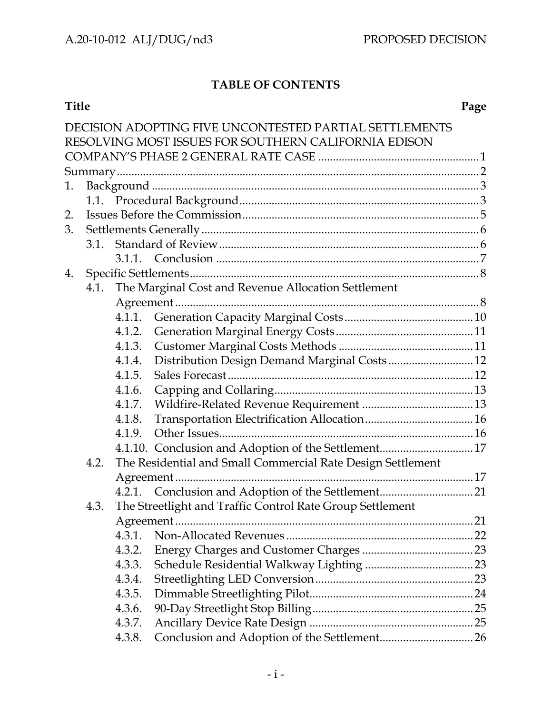# **TABLE OF CONTENTS**

|    |      |                                                             | DECISION ADOPTING FIVE UNCONTESTED PARTIAL SETTLEMENTS |  |  |  |  |  |  |
|----|------|-------------------------------------------------------------|--------------------------------------------------------|--|--|--|--|--|--|
|    |      |                                                             | RESOLVING MOST ISSUES FOR SOUTHERN CALIFORNIA EDISON   |  |  |  |  |  |  |
|    |      |                                                             |                                                        |  |  |  |  |  |  |
|    |      |                                                             |                                                        |  |  |  |  |  |  |
| 1. |      |                                                             |                                                        |  |  |  |  |  |  |
|    |      |                                                             |                                                        |  |  |  |  |  |  |
| 2. |      |                                                             |                                                        |  |  |  |  |  |  |
| 3. |      |                                                             |                                                        |  |  |  |  |  |  |
|    |      |                                                             |                                                        |  |  |  |  |  |  |
|    |      |                                                             |                                                        |  |  |  |  |  |  |
| 4. |      |                                                             |                                                        |  |  |  |  |  |  |
|    | 4.1. |                                                             | The Marginal Cost and Revenue Allocation Settlement    |  |  |  |  |  |  |
|    |      |                                                             |                                                        |  |  |  |  |  |  |
|    |      |                                                             |                                                        |  |  |  |  |  |  |
|    |      | 4.1.2.                                                      |                                                        |  |  |  |  |  |  |
|    |      | 4.1.3.                                                      |                                                        |  |  |  |  |  |  |
|    |      | 4.1.4.                                                      | Distribution Design Demand Marginal Costs 12           |  |  |  |  |  |  |
|    |      | 4.1.5.                                                      |                                                        |  |  |  |  |  |  |
|    |      | 4.1.6.                                                      |                                                        |  |  |  |  |  |  |
|    |      | 4.1.7.                                                      |                                                        |  |  |  |  |  |  |
|    |      | 4.1.8.                                                      |                                                        |  |  |  |  |  |  |
|    |      | 4.1.9.                                                      |                                                        |  |  |  |  |  |  |
|    |      |                                                             | 4.1.10. Conclusion and Adoption of the Settlement 17   |  |  |  |  |  |  |
|    | 4.2. | The Residential and Small Commercial Rate Design Settlement |                                                        |  |  |  |  |  |  |
|    |      |                                                             |                                                        |  |  |  |  |  |  |
|    |      |                                                             |                                                        |  |  |  |  |  |  |
|    | 4.3. | The Streetlight and Traffic Control Rate Group Settlement   |                                                        |  |  |  |  |  |  |
|    |      |                                                             |                                                        |  |  |  |  |  |  |
|    |      | 4.3.1.                                                      |                                                        |  |  |  |  |  |  |
|    |      | 4.3.2.                                                      |                                                        |  |  |  |  |  |  |
|    |      | 4.3.3.                                                      |                                                        |  |  |  |  |  |  |
|    |      | 4.3.4.                                                      |                                                        |  |  |  |  |  |  |
|    |      | 4.3.5.                                                      |                                                        |  |  |  |  |  |  |
|    |      | 4.3.6.                                                      |                                                        |  |  |  |  |  |  |
|    |      | 4.3.7.                                                      |                                                        |  |  |  |  |  |  |
|    |      | 4.3.8.                                                      |                                                        |  |  |  |  |  |  |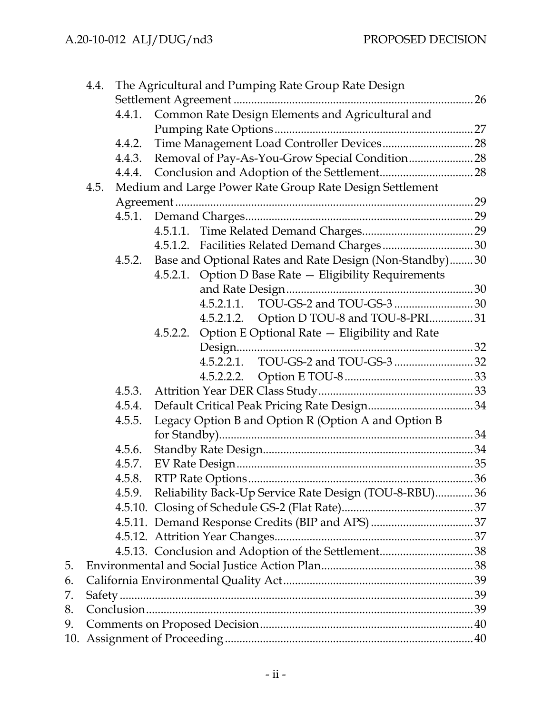|     | 4.4. | The Agricultural and Pumping Rate Group Rate Design      |                                                         |                                                        |  |  |  |  |
|-----|------|----------------------------------------------------------|---------------------------------------------------------|--------------------------------------------------------|--|--|--|--|
|     |      |                                                          |                                                         |                                                        |  |  |  |  |
|     |      |                                                          | 4.4.1. Common Rate Design Elements and Agricultural and |                                                        |  |  |  |  |
|     |      |                                                          |                                                         |                                                        |  |  |  |  |
|     |      | 4.4.2.                                                   |                                                         |                                                        |  |  |  |  |
|     |      | 4.4.3.                                                   |                                                         |                                                        |  |  |  |  |
|     |      |                                                          |                                                         |                                                        |  |  |  |  |
|     | 4.5. | Medium and Large Power Rate Group Rate Design Settlement |                                                         |                                                        |  |  |  |  |
|     |      |                                                          |                                                         |                                                        |  |  |  |  |
|     |      | 4.5.1.                                                   |                                                         |                                                        |  |  |  |  |
|     |      |                                                          |                                                         |                                                        |  |  |  |  |
|     |      |                                                          |                                                         |                                                        |  |  |  |  |
|     |      | 4.5.2.                                                   | Base and Optional Rates and Rate Design (Non-Standby)30 |                                                        |  |  |  |  |
|     |      |                                                          |                                                         | 4.5.2.1. Option D Base Rate - Eligibility Requirements |  |  |  |  |
|     |      |                                                          |                                                         |                                                        |  |  |  |  |
|     |      |                                                          |                                                         | 4.5.2.1.1.                                             |  |  |  |  |
|     |      |                                                          |                                                         | 4.5.2.1.2. Option D TOU-8 and TOU-8-PRI31              |  |  |  |  |
|     |      |                                                          |                                                         | 4.5.2.2. Option E Optional Rate - Eligibility and Rate |  |  |  |  |
|     |      |                                                          |                                                         |                                                        |  |  |  |  |
|     |      |                                                          |                                                         |                                                        |  |  |  |  |
|     |      |                                                          |                                                         |                                                        |  |  |  |  |
|     |      | 4.5.3.                                                   |                                                         |                                                        |  |  |  |  |
|     |      | 4.5.4.                                                   |                                                         |                                                        |  |  |  |  |
|     |      | 4.5.5.                                                   |                                                         | Legacy Option B and Option R (Option A and Option B    |  |  |  |  |
|     |      |                                                          |                                                         |                                                        |  |  |  |  |
|     |      | 4.5.6.                                                   |                                                         |                                                        |  |  |  |  |
|     |      | 4.5.7.                                                   |                                                         |                                                        |  |  |  |  |
|     |      | 4.5.8.                                                   |                                                         |                                                        |  |  |  |  |
|     |      | 4.5.9.                                                   |                                                         | Reliability Back-Up Service Rate Design (TOU-8-RBU)36  |  |  |  |  |
|     |      |                                                          |                                                         |                                                        |  |  |  |  |
|     |      |                                                          |                                                         |                                                        |  |  |  |  |
|     |      |                                                          |                                                         |                                                        |  |  |  |  |
|     |      |                                                          |                                                         |                                                        |  |  |  |  |
| 5.  |      |                                                          |                                                         |                                                        |  |  |  |  |
| 6.  |      |                                                          |                                                         |                                                        |  |  |  |  |
| 7.  |      |                                                          |                                                         |                                                        |  |  |  |  |
| 8.  |      |                                                          |                                                         |                                                        |  |  |  |  |
| 9.  |      |                                                          |                                                         |                                                        |  |  |  |  |
| 10. |      |                                                          |                                                         |                                                        |  |  |  |  |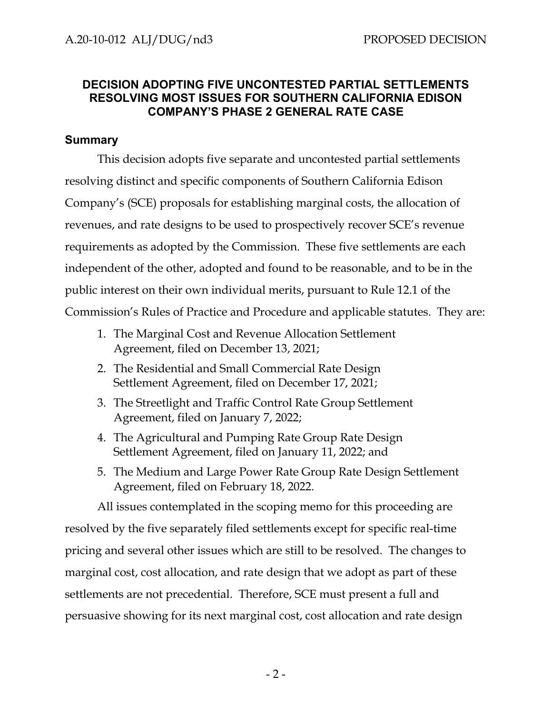# **DECISION ADOPTING FIVE UNCONTESTED PARTIAL SETTLEMENTS RESOLVING MOST ISSUES FOR SOUTHERN CALIFORNIA EDISON COMPANY'S PHASE 2 GENERAL RATE CASE**

#### <span id="page-5-0"></span>**Summary**

This decision adopts five separate and uncontested partial settlements resolving distinct and specific components of Southern California Edison Company's (SCE) proposals for establishing marginal costs, the allocation of revenues, and rate designs to be used to prospectively recover SCE's revenue requirements as adopted by the Commission. These five settlements are each independent of the other, adopted and found to be reasonable, and to be in the public interest on their own individual merits, pursuant to Rule 12.1 of the Commission's Rules of Practice and Procedure and applicable statutes. They are:

- 1. The Marginal Cost and Revenue Allocation Settlement Agreement, filed on December 13, 2021;
- 2. The Residential and Small Commercial Rate Design Settlement Agreement, filed on December 17, 2021;
- 3. The Streetlight and Traffic Control Rate Group Settlement Agreement, filed on January 7, 2022;
- 4. The Agricultural and Pumping Rate Group Rate Design Settlement Agreement, filed on January 11, 2022; and
- 5. The Medium and Large Power Rate Group Rate Design Settlement Agreement, filed on February 18, 2022.

All issues contemplated in the scoping memo for this proceeding are resolved by the five separately filed settlements except for specific real-time pricing and several other issues which are still to be resolved. The changes to marginal cost, cost allocation, and rate design that we adopt as part of these settlements are not precedential. Therefore, SCE must present a full and persuasive showing for its next marginal cost, cost allocation and rate design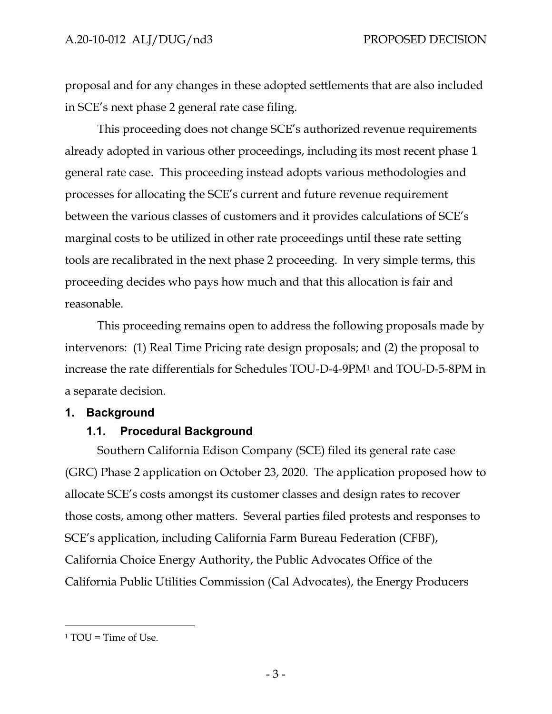proposal and for any changes in these adopted settlements that are also included in SCE's next phase 2 general rate case filing.

This proceeding does not change SCE's authorized revenue requirements already adopted in various other proceedings, including its most recent phase 1 general rate case. This proceeding instead adopts various methodologies and processes for allocating the SCE's current and future revenue requirement between the various classes of customers and it provides calculations of SCE's marginal costs to be utilized in other rate proceedings until these rate setting tools are recalibrated in the next phase 2 proceeding. In very simple terms, this proceeding decides who pays how much and that this allocation is fair and reasonable.

This proceeding remains open to address the following proposals made by intervenors: (1) Real Time Pricing rate design proposals; and (2) the proposal to increase the rate differentials for Schedules TOU-D-4-9PM[1](#page-6-2) and TOU-D-5-8PM in a separate decision.

#### <span id="page-6-1"></span><span id="page-6-0"></span>**1. Background**

# **1.1. Procedural Background**

Southern California Edison Company (SCE) filed its general rate case (GRC) Phase 2 application on October 23, 2020. The application proposed how to allocate SCE's costs amongst its customer classes and design rates to recover those costs, among other matters. Several parties filed protests and responses to SCE's application, including California Farm Bureau Federation (CFBF), California Choice Energy Authority, the Public Advocates Office of the California Public Utilities Commission (Cal Advocates), the Energy Producers

<span id="page-6-2"></span> $1 TOU = Time of Use.$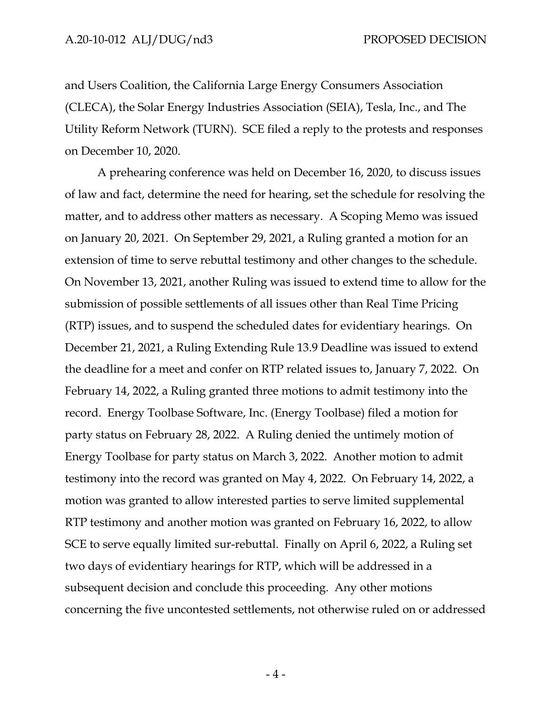and Users Coalition, the California Large Energy Consumers Association (CLECA), the Solar Energy Industries Association (SEIA), Tesla, Inc., and The Utility Reform Network (TURN). SCE filed a reply to the protests and responses on December 10, 2020.

A prehearing conference was held on December 16, 2020, to discuss issues of law and fact, determine the need for hearing, set the schedule for resolving the matter, and to address other matters as necessary. A Scoping Memo was issued on January 20, 2021. On September 29, 2021, a Ruling granted a motion for an extension of time to serve rebuttal testimony and other changes to the schedule. On November 13, 2021, another Ruling was issued to extend time to allow for the submission of possible settlements of all issues other than Real Time Pricing (RTP) issues, and to suspend the scheduled dates for evidentiary hearings. On December 21, 2021, a Ruling Extending Rule 13.9 Deadline was issued to extend the deadline for a meet and confer on RTP related issues to, January 7, 2022. On February 14, 2022, a Ruling granted three motions to admit testimony into the record. Energy Toolbase Software, Inc. (Energy Toolbase) filed a motion for party status on February 28, 2022. A Ruling denied the untimely motion of Energy Toolbase for party status on March 3, 2022. Another motion to admit testimony into the record was granted on May 4, 2022. On February 14, 2022, a motion was granted to allow interested parties to serve limited supplemental RTP testimony and another motion was granted on February 16, 2022, to allow SCE to serve equally limited sur-rebuttal. Finally on April 6, 2022, a Ruling set two days of evidentiary hearings for RTP, which will be addressed in a subsequent decision and conclude this proceeding. Any other motions concerning the five uncontested settlements, not otherwise ruled on or addressed

- 4 -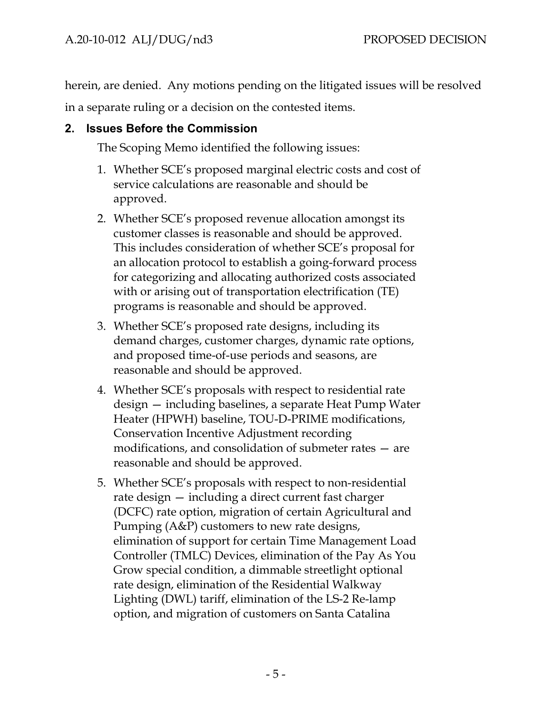herein, are denied. Any motions pending on the litigated issues will be resolved in a separate ruling or a decision on the contested items.

# <span id="page-8-0"></span>**2. Issues Before the Commission**

The Scoping Memo identified the following issues:

- 1. Whether SCE's proposed marginal electric costs and cost of service calculations are reasonable and should be approved.
- 2. Whether SCE's proposed revenue allocation amongst its customer classes is reasonable and should be approved. This includes consideration of whether SCE's proposal for an allocation protocol to establish a going-forward process for categorizing and allocating authorized costs associated with or arising out of transportation electrification (TE) programs is reasonable and should be approved.
- 3. Whether SCE's proposed rate designs, including its demand charges, customer charges, dynamic rate options, and proposed time-of-use periods and seasons, are reasonable and should be approved.
- 4. Whether SCE's proposals with respect to residential rate design — including baselines, a separate Heat Pump Water Heater (HPWH) baseline, TOU-D-PRIME modifications, Conservation Incentive Adjustment recording modifications, and consolidation of submeter rates — are reasonable and should be approved.
- 5. Whether SCE's proposals with respect to non-residential rate design — including a direct current fast charger (DCFC) rate option, migration of certain Agricultural and Pumping (A&P) customers to new rate designs, elimination of support for certain Time Management Load Controller (TMLC) Devices, elimination of the Pay As You Grow special condition, a dimmable streetlight optional rate design, elimination of the Residential Walkway Lighting (DWL) tariff, elimination of the LS-2 Re-lamp option, and migration of customers on Santa Catalina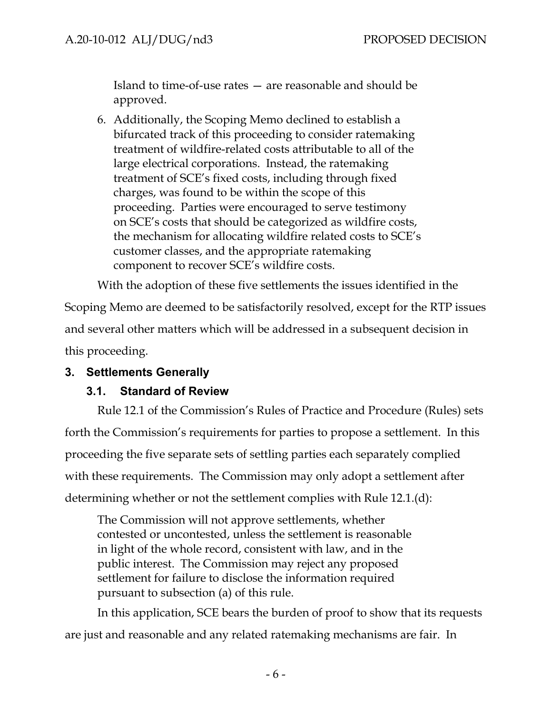Island to time-of-use rates — are reasonable and should be approved.

6. Additionally, the Scoping Memo declined to establish a bifurcated track of this proceeding to consider ratemaking treatment of wildfire-related costs attributable to all of the large electrical corporations. Instead, the ratemaking treatment of SCE's fixed costs, including through fixed charges, was found to be within the scope of this proceeding. Parties were encouraged to serve testimony on SCE's costs that should be categorized as wildfire costs, the mechanism for allocating wildfire related costs to SCE's customer classes, and the appropriate ratemaking component to recover SCE's wildfire costs.

With the adoption of these five settlements the issues identified in the Scoping Memo are deemed to be satisfactorily resolved, except for the RTP issues and several other matters which will be addressed in a subsequent decision in this proceeding.

# <span id="page-9-1"></span><span id="page-9-0"></span>**3. Settlements Generally**

#### **3.1. Standard of Review**

Rule 12.1 of the Commission's Rules of Practice and Procedure (Rules) sets forth the Commission's requirements for parties to propose a settlement. In this proceeding the five separate sets of settling parties each separately complied with these requirements. The Commission may only adopt a settlement after determining whether or not the settlement complies with Rule 12.1.(d):

The Commission will not approve settlements, whether contested or uncontested, unless the settlement is reasonable in light of the whole record, consistent with law, and in the public interest. The Commission may reject any proposed settlement for failure to disclose the information required pursuant to subsection (a) of this rule.

In this application, SCE bears the burden of proof to show that its requests are just and reasonable and any related ratemaking mechanisms are fair. In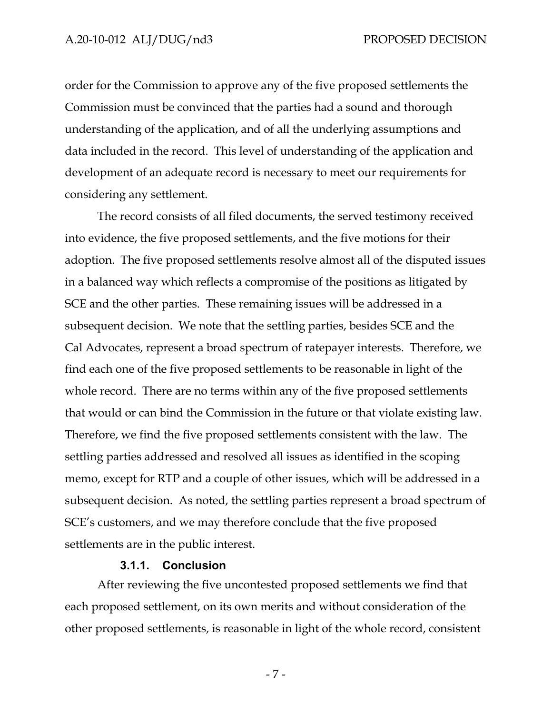order for the Commission to approve any of the five proposed settlements the Commission must be convinced that the parties had a sound and thorough understanding of the application, and of all the underlying assumptions and data included in the record. This level of understanding of the application and development of an adequate record is necessary to meet our requirements for considering any settlement.

The record consists of all filed documents, the served testimony received into evidence, the five proposed settlements, and the five motions for their adoption. The five proposed settlements resolve almost all of the disputed issues in a balanced way which reflects a compromise of the positions as litigated by SCE and the other parties. These remaining issues will be addressed in a subsequent decision. We note that the settling parties, besides SCE and the Cal Advocates, represent a broad spectrum of ratepayer interests. Therefore, we find each one of the five proposed settlements to be reasonable in light of the whole record. There are no terms within any of the five proposed settlements that would or can bind the Commission in the future or that violate existing law. Therefore, we find the five proposed settlements consistent with the law. The settling parties addressed and resolved all issues as identified in the scoping memo, except for RTP and a couple of other issues, which will be addressed in a subsequent decision. As noted, the settling parties represent a broad spectrum of SCE's customers, and we may therefore conclude that the five proposed settlements are in the public interest.

#### **3.1.1. Conclusion**

<span id="page-10-0"></span>After reviewing the five uncontested proposed settlements we find that each proposed settlement, on its own merits and without consideration of the other proposed settlements, is reasonable in light of the whole record, consistent

- 7 -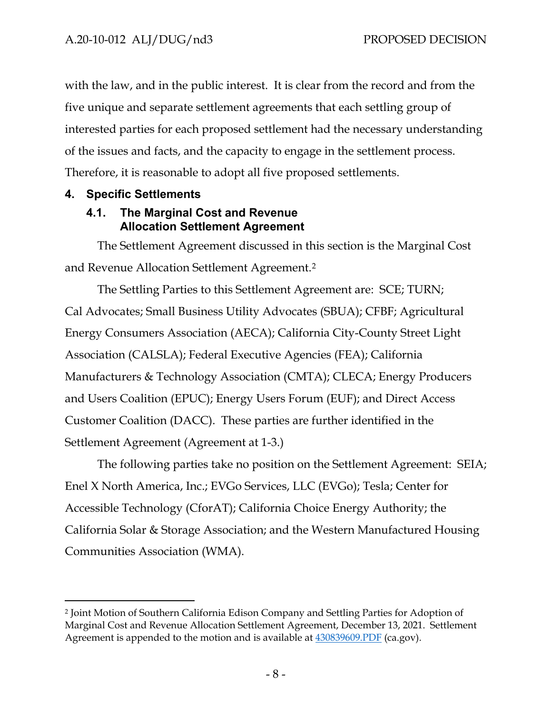with the law, and in the public interest. It is clear from the record and from the five unique and separate settlement agreements that each settling group of interested parties for each proposed settlement had the necessary understanding of the issues and facts, and the capacity to engage in the settlement process. Therefore, it is reasonable to adopt all five proposed settlements.

## <span id="page-11-1"></span><span id="page-11-0"></span>**4. Specific Settlements**

# **4.1. The Marginal Cost and Revenue Allocation Settlement Agreement**

The Settlement Agreement discussed in this section is the Marginal Cost and Revenue Allocation Settlement Agreement.[2](#page-11-2)

The Settling Parties to this Settlement Agreement are: SCE; TURN; Cal Advocates; Small Business Utility Advocates (SBUA); CFBF; Agricultural Energy Consumers Association (AECA); California City-County Street Light Association (CALSLA); Federal Executive Agencies (FEA); California Manufacturers & Technology Association (CMTA); CLECA; Energy Producers and Users Coalition (EPUC); Energy Users Forum (EUF); and Direct Access Customer Coalition (DACC). These parties are further identified in the Settlement Agreement (Agreement at 1-3.)

The following parties take no position on the Settlement Agreement: SEIA; Enel X North America, Inc.; EVGo Services, LLC (EVGo); Tesla; Center for Accessible Technology (CforAT); California Choice Energy Authority; the California Solar & Storage Association; and the Western Manufactured Housing Communities Association (WMA).

<span id="page-11-2"></span><sup>2</sup> Joint Motion of Southern California Edison Company and Settling Parties for Adoption of Marginal Cost and Revenue Allocation Settlement Agreement, December 13, 2021. Settlement Agreement is appended to the motion and is available at  $430839609.PDF$  (ca.gov).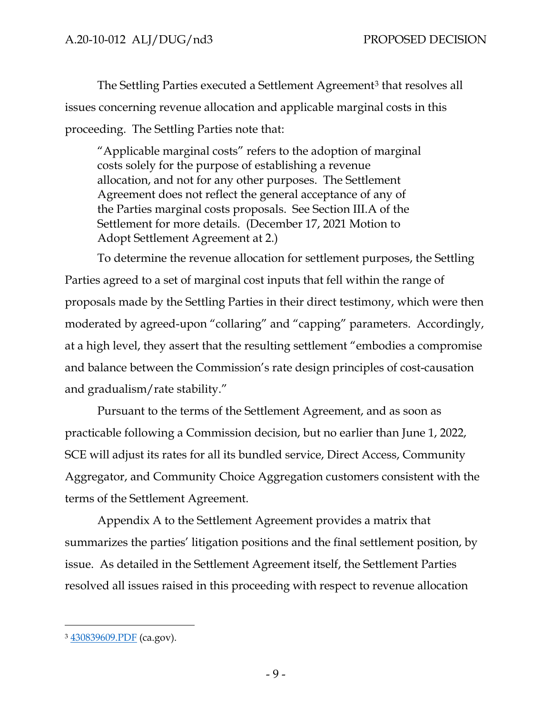The Settling Parties executed a Settlement Agreement<sup>[3](#page-12-0)</sup> that resolves all issues concerning revenue allocation and applicable marginal costs in this proceeding. The Settling Parties note that:

"Applicable marginal costs" refers to the adoption of marginal costs solely for the purpose of establishing a revenue allocation, and not for any other purposes. The Settlement Agreement does not reflect the general acceptance of any of the Parties marginal costs proposals. See Section III.A of the Settlement for more details. (December 17, 2021 Motion to Adopt Settlement Agreement at 2.)

To determine the revenue allocation for settlement purposes, the Settling Parties agreed to a set of marginal cost inputs that fell within the range of proposals made by the Settling Parties in their direct testimony, which were then moderated by agreed-upon "collaring" and "capping" parameters. Accordingly, at a high level, they assert that the resulting settlement "embodies a compromise and balance between the Commission's rate design principles of cost-causation and gradualism/rate stability."

Pursuant to the terms of the Settlement Agreement, and as soon as practicable following a Commission decision, but no earlier than June 1, 2022, SCE will adjust its rates for all its bundled service, Direct Access, Community Aggregator, and Community Choice Aggregation customers consistent with the terms of the Settlement Agreement.

Appendix A to the Settlement Agreement provides a matrix that summarizes the parties' litigation positions and the final settlement position, by issue. As detailed in the Settlement Agreement itself, the Settlement Parties resolved all issues raised in this proceeding with respect to revenue allocation

<span id="page-12-0"></span><sup>3</sup> [430839609.PDF](https://docs.cpuc.ca.gov/PublishedDocs/Efile/G000/M430/K839/430839609.PDF) (ca.gov).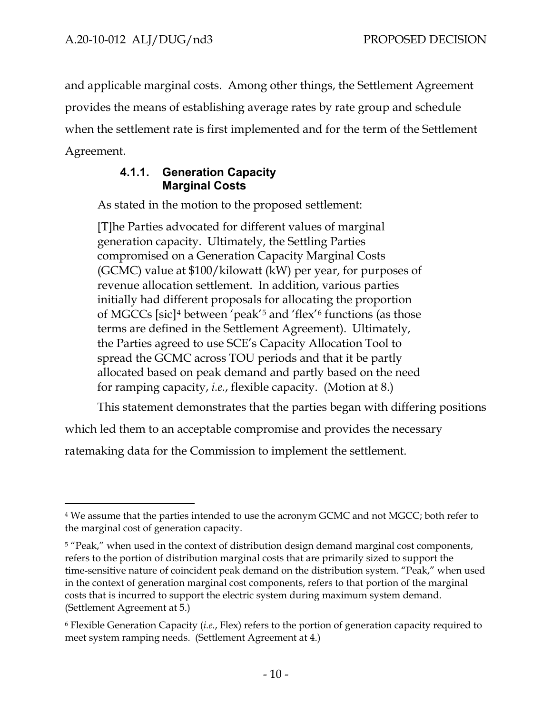and applicable marginal costs. Among other things, the Settlement Agreement provides the means of establishing average rates by rate group and schedule when the settlement rate is first implemented and for the term of the Settlement Agreement.

# **4.1.1. Generation Capacity Marginal Costs**

<span id="page-13-0"></span>As stated in the motion to the proposed settlement:

[T]he Parties advocated for different values of marginal generation capacity. Ultimately, the Settling Parties compromised on a Generation Capacity Marginal Costs (GCMC) value at \$100/kilowatt (kW) per year, for purposes of revenue allocation settlement. In addition, various parties initially had different proposals for allocating the proportion of MGCCs [sic][4](#page-13-1) between 'peak'[5](#page-13-2) and 'flex'[6](#page-13-3) functions (as those terms are defined in the Settlement Agreement). Ultimately, the Parties agreed to use SCE's Capacity Allocation Tool to spread the GCMC across TOU periods and that it be partly allocated based on peak demand and partly based on the need for ramping capacity, *i.e.*, flexible capacity. (Motion at 8.)

This statement demonstrates that the parties began with differing positions

which led them to an acceptable compromise and provides the necessary

ratemaking data for the Commission to implement the settlement.

<span id="page-13-1"></span><sup>4</sup> We assume that the parties intended to use the acronym GCMC and not MGCC; both refer to the marginal cost of generation capacity.

<span id="page-13-2"></span><sup>&</sup>lt;sup>5</sup> "Peak," when used in the context of distribution design demand marginal cost components, refers to the portion of distribution marginal costs that are primarily sized to support the time-sensitive nature of coincident peak demand on the distribution system. "Peak," when used in the context of generation marginal cost components, refers to that portion of the marginal costs that is incurred to support the electric system during maximum system demand. (Settlement Agreement at 5.)

<span id="page-13-3"></span><sup>6</sup> Flexible Generation Capacity (*i.e.*, Flex) refers to the portion of generation capacity required to meet system ramping needs. (Settlement Agreement at 4.)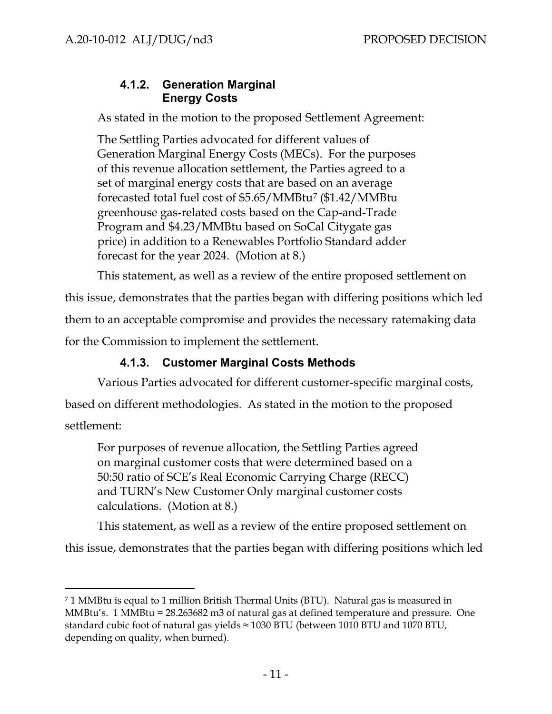# **4.1.2. Generation Marginal Energy Costs**

<span id="page-14-0"></span>As stated in the motion to the proposed Settlement Agreement:

The Settling Parties advocated for different values of Generation Marginal Energy Costs (MECs). For the purposes of this revenue allocation settlement, the Parties agreed to a set of marginal energy costs that are based on an average forecasted total fuel cost of \$5.65/MMBtu[7](#page-14-2) (\$1.42/MMBtu greenhouse gas-related costs based on the Cap-and-Trade Program and \$4.23/MMBtu based on SoCal Citygate gas price) in addition to a Renewables Portfolio Standard adder forecast for the year 2024. (Motion at 8.)

This statement, as well as a review of the entire proposed settlement on

this issue, demonstrates that the parties began with differing positions which led them to an acceptable compromise and provides the necessary ratemaking data

for the Commission to implement the settlement.

# **4.1.3. Customer Marginal Costs Methods**

<span id="page-14-1"></span>Various Parties advocated for different customer-specific marginal costs, based on different methodologies. As stated in the motion to the proposed

settlement:

For purposes of revenue allocation, the Settling Parties agreed on marginal customer costs that were determined based on a 50:50 ratio of SCE's Real Economic Carrying Charge (RECC) and TURN's New Customer Only marginal customer costs calculations. (Motion at 8.)

This statement, as well as a review of the entire proposed settlement on

this issue, demonstrates that the parties began with differing positions which led

<span id="page-14-2"></span><sup>7 1</sup> MMBtu is equal to 1 million British Thermal Units (BTU). Natural gas is measured in MMBtu's. 1 MMBtu = 28.263682 m3 of natural gas at defined temperature and pressure. One standard cubic foot of natural gas yields  $\approx$  1030 BTU (between 1010 BTU and 1070 BTU, depending on quality, when burned).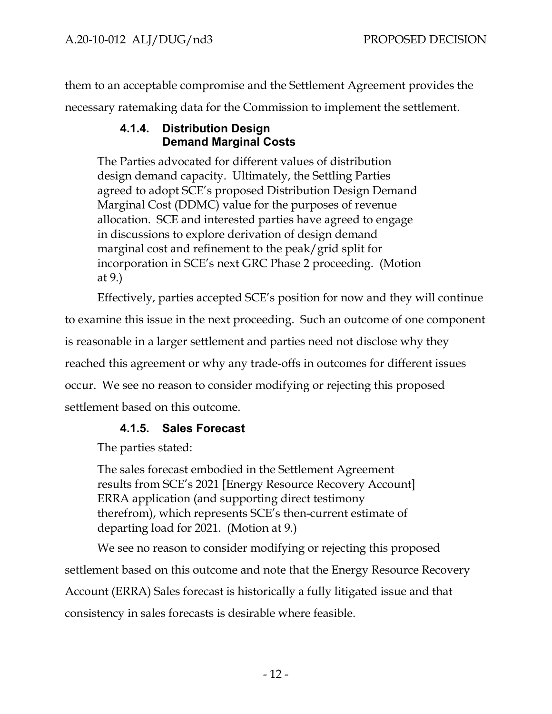<span id="page-15-0"></span>them to an acceptable compromise and the Settlement Agreement provides the necessary ratemaking data for the Commission to implement the settlement.

# **4.1.4. Distribution Design Demand Marginal Costs**

The Parties advocated for different values of distribution design demand capacity. Ultimately, the Settling Parties agreed to adopt SCE's proposed Distribution Design Demand Marginal Cost (DDMC) value for the purposes of revenue allocation. SCE and interested parties have agreed to engage in discussions to explore derivation of design demand marginal cost and refinement to the peak/grid split for incorporation in SCE's next GRC Phase 2 proceeding. (Motion at 9.)

Effectively, parties accepted SCE's position for now and they will continue

to examine this issue in the next proceeding. Such an outcome of one component is reasonable in a larger settlement and parties need not disclose why they reached this agreement or why any trade-offs in outcomes for different issues occur. We see no reason to consider modifying or rejecting this proposed settlement based on this outcome.

# **4.1.5. Sales Forecast**

<span id="page-15-1"></span>The parties stated:

The sales forecast embodied in the Settlement Agreement results from SCE's 2021 [Energy Resource Recovery Account] ERRA application (and supporting direct testimony therefrom), which represents SCE's then-current estimate of departing load for 2021. (Motion at 9.)

We see no reason to consider modifying or rejecting this proposed settlement based on this outcome and note that the Energy Resource Recovery Account (ERRA) Sales forecast is historically a fully litigated issue and that consistency in sales forecasts is desirable where feasible.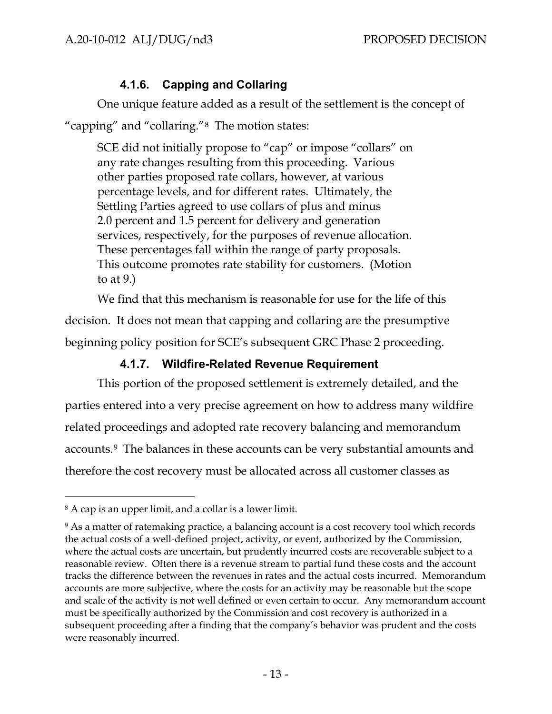# **4.1.6. Capping and Collaring**

<span id="page-16-0"></span>One unique feature added as a result of the settlement is the concept of "capping" and "collaring."[8](#page-16-2) The motion states:

SCE did not initially propose to "cap" or impose "collars" on any rate changes resulting from this proceeding. Various other parties proposed rate collars, however, at various percentage levels, and for different rates. Ultimately, the Settling Parties agreed to use collars of plus and minus 2.0 percent and 1.5 percent for delivery and generation services, respectively, for the purposes of revenue allocation. These percentages fall within the range of party proposals. This outcome promotes rate stability for customers. (Motion to at 9.)

We find that this mechanism is reasonable for use for the life of this decision. It does not mean that capping and collaring are the presumptive beginning policy position for SCE's subsequent GRC Phase 2 proceeding.

# **4.1.7. Wildfire-Related Revenue Requirement**

<span id="page-16-1"></span>This portion of the proposed settlement is extremely detailed, and the parties entered into a very precise agreement on how to address many wildfire related proceedings and adopted rate recovery balancing and memorandum accounts.[9](#page-16-3) The balances in these accounts can be very substantial amounts and therefore the cost recovery must be allocated across all customer classes as

<span id="page-16-2"></span><sup>8</sup> A cap is an upper limit, and a collar is a lower limit.

<span id="page-16-3"></span><sup>&</sup>lt;sup>9</sup> As a matter of ratemaking practice, a balancing account is a cost recovery tool which records the actual costs of a well-defined project, activity, or event, authorized by the Commission, where the actual costs are uncertain, but prudently incurred costs are recoverable subject to a reasonable review. Often there is a revenue stream to partial fund these costs and the account tracks the difference between the revenues in rates and the actual costs incurred. Memorandum accounts are more subjective, where the costs for an activity may be reasonable but the scope and scale of the activity is not well defined or even certain to occur. Any memorandum account must be specifically authorized by the Commission and cost recovery is authorized in a subsequent proceeding after a finding that the company's behavior was prudent and the costs were reasonably incurred.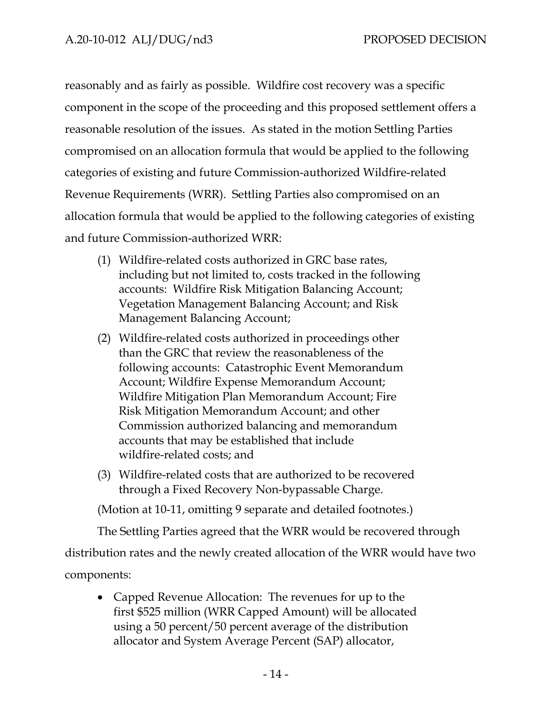reasonably and as fairly as possible. Wildfire cost recovery was a specific component in the scope of the proceeding and this proposed settlement offers a reasonable resolution of the issues. As stated in the motion Settling Parties compromised on an allocation formula that would be applied to the following categories of existing and future Commission-authorized Wildfire-related Revenue Requirements (WRR). Settling Parties also compromised on an allocation formula that would be applied to the following categories of existing and future Commission-authorized WRR:

- (1) Wildfire-related costs authorized in GRC base rates, including but not limited to, costs tracked in the following accounts: Wildfire Risk Mitigation Balancing Account; Vegetation Management Balancing Account; and Risk Management Balancing Account;
- (2) Wildfire-related costs authorized in proceedings other than the GRC that review the reasonableness of the following accounts: Catastrophic Event Memorandum Account; Wildfire Expense Memorandum Account; Wildfire Mitigation Plan Memorandum Account; Fire Risk Mitigation Memorandum Account; and other Commission authorized balancing and memorandum accounts that may be established that include wildfire-related costs; and
- (3) Wildfire-related costs that are authorized to be recovered through a Fixed Recovery Non-bypassable Charge.

(Motion at 10-11, omitting 9 separate and detailed footnotes.)

The Settling Parties agreed that the WRR would be recovered through

distribution rates and the newly created allocation of the WRR would have two

components:

• Capped Revenue Allocation: The revenues for up to the first \$525 million (WRR Capped Amount) will be allocated using a 50 percent/50 percent average of the distribution allocator and System Average Percent (SAP) allocator,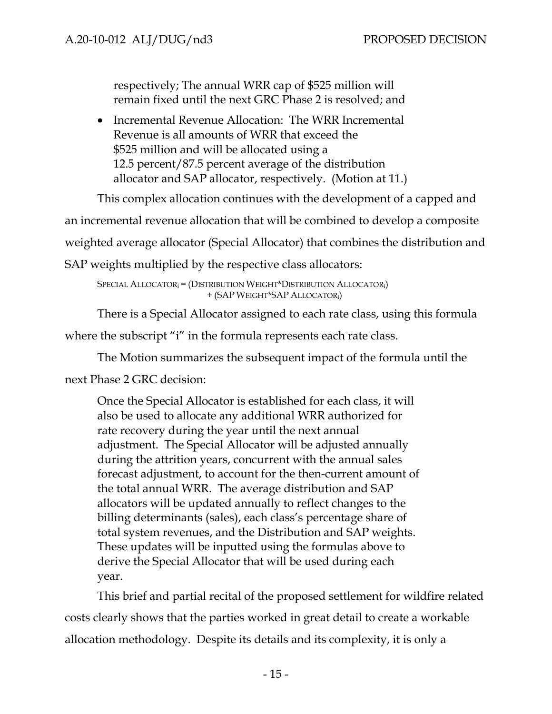respectively; The annual WRR cap of \$525 million will remain fixed until the next GRC Phase 2 is resolved; and

• Incremental Revenue Allocation: The WRR Incremental Revenue is all amounts of WRR that exceed the \$525 million and will be allocated using a 12.5 percent/87.5 percent average of the distribution allocator and SAP allocator, respectively. (Motion at 11.)

This complex allocation continues with the development of a capped and

an incremental revenue allocation that will be combined to develop a composite

weighted average allocator (Special Allocator) that combines the distribution and

SAP weights multiplied by the respective class allocators:

SPECIAL ALLOCATOR<sub>i</sub> = (DISTRIBUTION WEIGHT\*DISTRIBUTION ALLOCATOR<sub>i</sub>) + (SAP WEIGHT\*SAP ALLOCATORi)

There is a Special Allocator assigned to each rate class, using this formula

where the subscript "i" in the formula represents each rate class.

The Motion summarizes the subsequent impact of the formula until the

next Phase 2 GRC decision:

Once the Special Allocator is established for each class, it will also be used to allocate any additional WRR authorized for rate recovery during the year until the next annual adjustment. The Special Allocator will be adjusted annually during the attrition years, concurrent with the annual sales forecast adjustment, to account for the then-current amount of the total annual WRR. The average distribution and SAP allocators will be updated annually to reflect changes to the billing determinants (sales), each class's percentage share of total system revenues, and the Distribution and SAP weights. These updates will be inputted using the formulas above to derive the Special Allocator that will be used during each year.

This brief and partial recital of the proposed settlement for wildfire related costs clearly shows that the parties worked in great detail to create a workable allocation methodology. Despite its details and its complexity, it is only a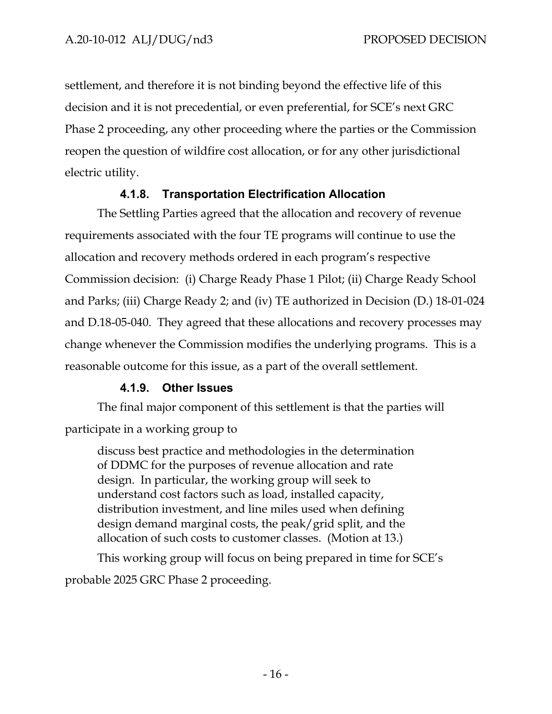settlement, and therefore it is not binding beyond the effective life of this decision and it is not precedential, or even preferential, for SCE's next GRC Phase 2 proceeding, any other proceeding where the parties or the Commission reopen the question of wildfire cost allocation, or for any other jurisdictional electric utility.

# **4.1.8. Transportation Electrification Allocation**

<span id="page-19-0"></span>The Settling Parties agreed that the allocation and recovery of revenue requirements associated with the four TE programs will continue to use the allocation and recovery methods ordered in each program's respective Commission decision: (i) Charge Ready Phase 1 Pilot; (ii) Charge Ready School and Parks; (iii) Charge Ready 2; and (iv) TE authorized in Decision (D.) 18-01-024 and D.18-05-040. They agreed that these allocations and recovery processes may change whenever the Commission modifies the underlying programs. This is a reasonable outcome for this issue, as a part of the overall settlement.

# **4.1.9. Other Issues**

<span id="page-19-1"></span>The final major component of this settlement is that the parties will participate in a working group to

discuss best practice and methodologies in the determination of DDMC for the purposes of revenue allocation and rate design. In particular, the working group will seek to understand cost factors such as load, installed capacity, distribution investment, and line miles used when defining design demand marginal costs, the peak/grid split, and the allocation of such costs to customer classes. (Motion at 13.)

This working group will focus on being prepared in time for SCE's

probable 2025 GRC Phase 2 proceeding.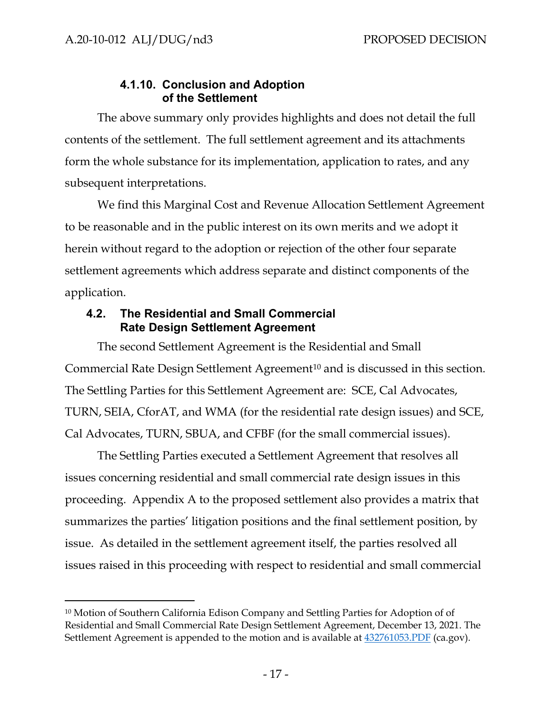## **4.1.10. Conclusion and Adoption of the Settlement**

<span id="page-20-0"></span>The above summary only provides highlights and does not detail the full contents of the settlement. The full settlement agreement and its attachments form the whole substance for its implementation, application to rates, and any subsequent interpretations.

We find this Marginal Cost and Revenue Allocation Settlement Agreement to be reasonable and in the public interest on its own merits and we adopt it herein without regard to the adoption or rejection of the other four separate settlement agreements which address separate and distinct components of the application.

## <span id="page-20-1"></span>**4.2. The Residential and Small Commercial Rate Design Settlement Agreement**

The second Settlement Agreement is the Residential and Small Commercial Rate Design Settlement Agreement<sup>[10](#page-20-2)</sup> and is discussed in this section. The Settling Parties for this Settlement Agreement are: SCE, Cal Advocates, TURN, SEIA, CforAT, and WMA (for the residential rate design issues) and SCE, Cal Advocates, TURN, SBUA, and CFBF (for the small commercial issues).

The Settling Parties executed a Settlement Agreement that resolves all issues concerning residential and small commercial rate design issues in this proceeding. Appendix A to the proposed settlement also provides a matrix that summarizes the parties' litigation positions and the final settlement position, by issue. As detailed in the settlement agreement itself, the parties resolved all issues raised in this proceeding with respect to residential and small commercial

<span id="page-20-2"></span><sup>10</sup> Motion of Southern California Edison Company and Settling Parties for Adoption of of Residential and Small Commercial Rate Design Settlement Agreement, December 13, 2021. The Settlement Agreement is appended to the motion and is available at  $432761053.PDF$  (ca.gov).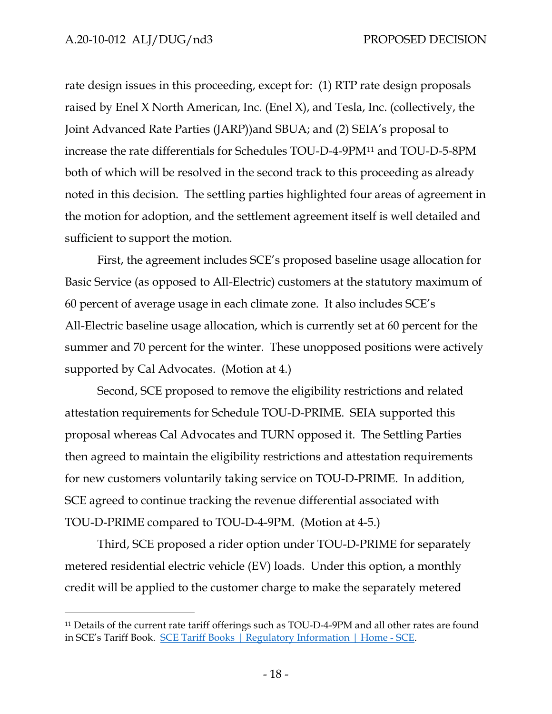rate design issues in this proceeding, except for: (1) RTP rate design proposals raised by Enel X North American, Inc. (Enel X), and Tesla, Inc. (collectively, the Joint Advanced Rate Parties (JARP))and SBUA; and (2) SEIA's proposal to increase the rate differentials for Schedules TOU-D-4-9PM[11](#page-21-0) and TOU-D-5-8PM both of which will be resolved in the second track to this proceeding as already noted in this decision. The settling parties highlighted four areas of agreement in the motion for adoption, and the settlement agreement itself is well detailed and sufficient to support the motion.

First, the agreement includes SCE's proposed baseline usage allocation for Basic Service (as opposed to All-Electric) customers at the statutory maximum of 60 percent of average usage in each climate zone. It also includes SCE's All-Electric baseline usage allocation, which is currently set at 60 percent for the summer and 70 percent for the winter. These unopposed positions were actively supported by Cal Advocates. (Motion at 4.)

Second, SCE proposed to remove the eligibility restrictions and related attestation requirements for Schedule TOU-D-PRIME. SEIA supported this proposal whereas Cal Advocates and TURN opposed it. The Settling Parties then agreed to maintain the eligibility restrictions and attestation requirements for new customers voluntarily taking service on TOU-D-PRIME. In addition, SCE agreed to continue tracking the revenue differential associated with TOU-D-PRIME compared to TOU-D-4-9PM. (Motion at 4-5.)

Third, SCE proposed a rider option under TOU-D-PRIME for separately metered residential electric vehicle (EV) loads. Under this option, a monthly credit will be applied to the customer charge to make the separately metered

<span id="page-21-0"></span><sup>&</sup>lt;sup>11</sup> Details of the current rate tariff offerings such as TOU-D-4-9PM and all other rates are found in SCE's Tariff Book. [SCE Tariff Books | Regulatory Information | Home - SCE.](https://www.sce.com/regulatory/tariff-books)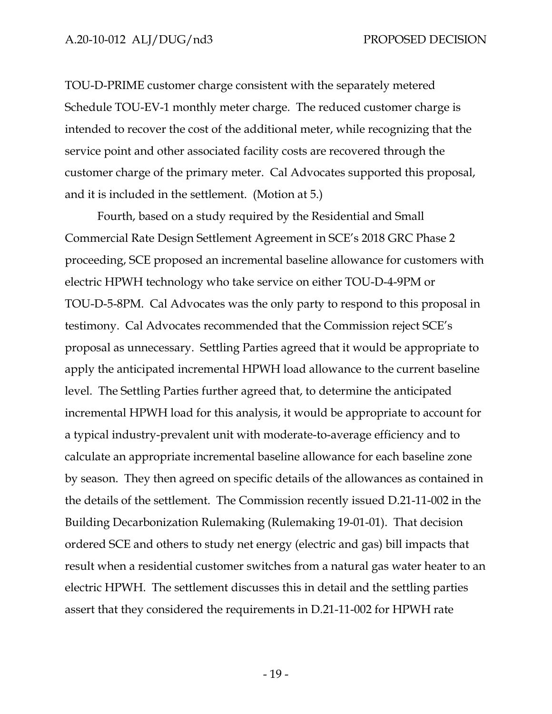TOU-D-PRIME customer charge consistent with the separately metered Schedule TOU-EV-1 monthly meter charge. The reduced customer charge is intended to recover the cost of the additional meter, while recognizing that the service point and other associated facility costs are recovered through the customer charge of the primary meter. Cal Advocates supported this proposal, and it is included in the settlement. (Motion at 5.)

Fourth, based on a study required by the Residential and Small Commercial Rate Design Settlement Agreement in SCE's 2018 GRC Phase 2 proceeding, SCE proposed an incremental baseline allowance for customers with electric HPWH technology who take service on either TOU-D-4-9PM or TOU-D-5-8PM. Cal Advocates was the only party to respond to this proposal in testimony. Cal Advocates recommended that the Commission reject SCE's proposal as unnecessary. Settling Parties agreed that it would be appropriate to apply the anticipated incremental HPWH load allowance to the current baseline level. The Settling Parties further agreed that, to determine the anticipated incremental HPWH load for this analysis, it would be appropriate to account for a typical industry-prevalent unit with moderate-to-average efficiency and to calculate an appropriate incremental baseline allowance for each baseline zone by season. They then agreed on specific details of the allowances as contained in the details of the settlement. The Commission recently issued D.21-11-002 in the Building Decarbonization Rulemaking (Rulemaking 19-01-01). That decision ordered SCE and others to study net energy (electric and gas) bill impacts that result when a residential customer switches from a natural gas water heater to an electric HPWH. The settlement discusses this in detail and the settling parties assert that they considered the requirements in D.21-11-002 for HPWH rate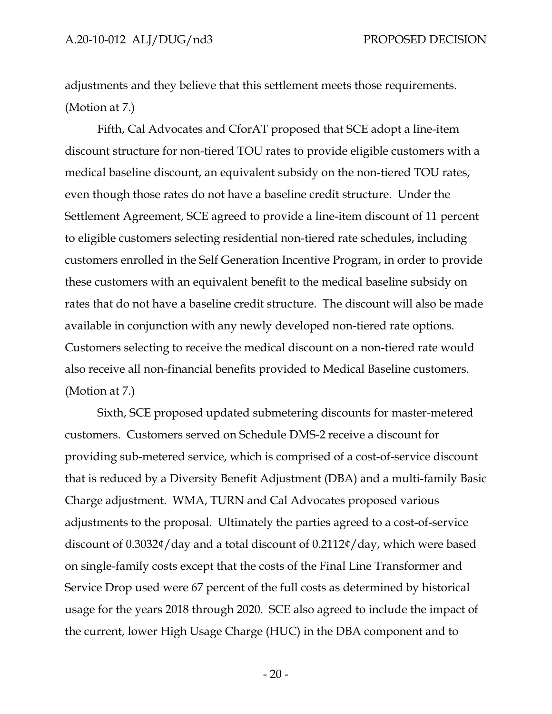adjustments and they believe that this settlement meets those requirements. (Motion at 7.)

Fifth, Cal Advocates and CforAT proposed that SCE adopt a line-item discount structure for non-tiered TOU rates to provide eligible customers with a medical baseline discount, an equivalent subsidy on the non-tiered TOU rates, even though those rates do not have a baseline credit structure. Under the Settlement Agreement, SCE agreed to provide a line-item discount of 11 percent to eligible customers selecting residential non-tiered rate schedules, including customers enrolled in the Self Generation Incentive Program, in order to provide these customers with an equivalent benefit to the medical baseline subsidy on rates that do not have a baseline credit structure. The discount will also be made available in conjunction with any newly developed non-tiered rate options. Customers selecting to receive the medical discount on a non-tiered rate would also receive all non-financial benefits provided to Medical Baseline customers. (Motion at 7.)

Sixth, SCE proposed updated submetering discounts for master-metered customers. Customers served on Schedule DMS-2 receive a discount for providing sub-metered service, which is comprised of a cost-of-service discount that is reduced by a Diversity Benefit Adjustment (DBA) and a multi-family Basic Charge adjustment. WMA, TURN and Cal Advocates proposed various adjustments to the proposal. Ultimately the parties agreed to a cost-of-service discount of 0.3032¢/day and a total discount of 0.2112¢/day, which were based on single-family costs except that the costs of the Final Line Transformer and Service Drop used were 67 percent of the full costs as determined by historical usage for the years 2018 through 2020. SCE also agreed to include the impact of the current, lower High Usage Charge (HUC) in the DBA component and to

- 20 -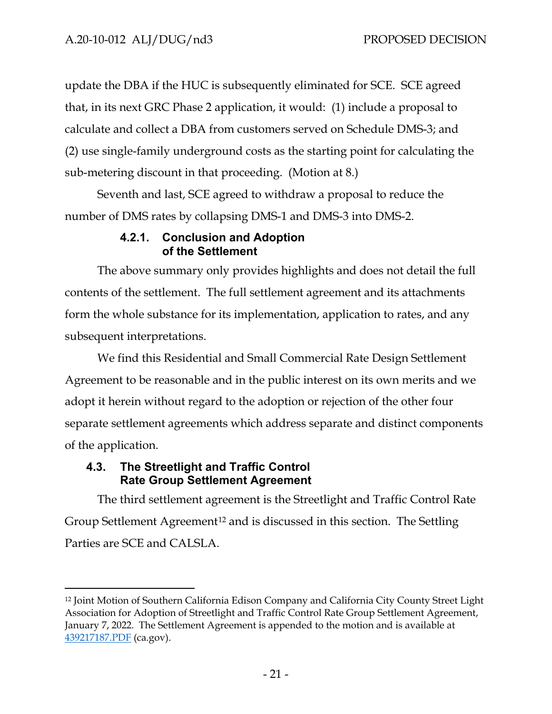update the DBA if the HUC is subsequently eliminated for SCE. SCE agreed that, in its next GRC Phase 2 application, it would: (1) include a proposal to calculate and collect a DBA from customers served on Schedule DMS-3; and (2) use single-family underground costs as the starting point for calculating the sub-metering discount in that proceeding. (Motion at 8.)

Seventh and last, SCE agreed to withdraw a proposal to reduce the number of DMS rates by collapsing DMS-1 and DMS-3 into DMS-2.

## **4.2.1. Conclusion and Adoption of the Settlement**

<span id="page-24-0"></span>The above summary only provides highlights and does not detail the full contents of the settlement. The full settlement agreement and its attachments form the whole substance for its implementation, application to rates, and any subsequent interpretations.

We find this Residential and Small Commercial Rate Design Settlement Agreement to be reasonable and in the public interest on its own merits and we adopt it herein without regard to the adoption or rejection of the other four separate settlement agreements which address separate and distinct components of the application.

## <span id="page-24-1"></span>**4.3. The Streetlight and Traffic Control Rate Group Settlement Agreement**

The third settlement agreement is the Streetlight and Traffic Control Rate Group Settlement Agreement<sup>[12](#page-24-2)</sup> and is discussed in this section. The Settling Parties are SCE and CALSLA.

<span id="page-24-2"></span><sup>12</sup> Joint Motion of Southern California Edison Company and California City County Street Light Association for Adoption of Streetlight and Traffic Control Rate Group Settlement Agreement, January 7, 2022. The Settlement Agreement is appended to the motion and is available at [439217187.PDF](https://docs.cpuc.ca.gov/PublishedDocs/Efile/G000/M439/K217/439217187.PDF) (ca.gov).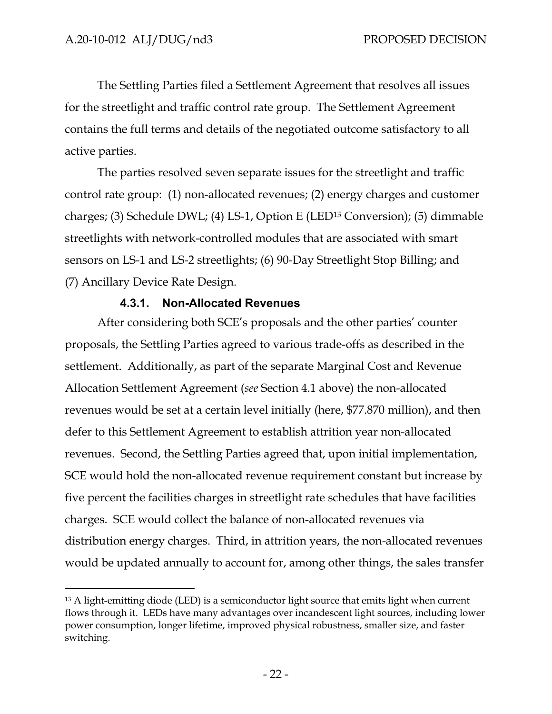The Settling Parties filed a Settlement Agreement that resolves all issues for the streetlight and traffic control rate group. The Settlement Agreement contains the full terms and details of the negotiated outcome satisfactory to all active parties.

The parties resolved seven separate issues for the streetlight and traffic control rate group: (1) non-allocated revenues; (2) energy charges and customer charges; (3) Schedule DWL; (4) LS-1, Option E (LED[13](#page-25-1) Conversion); (5) dimmable streetlights with network-controlled modules that are associated with smart sensors on LS-1 and LS-2 streetlights; (6) 90-Day Streetlight Stop Billing; and (7) Ancillary Device Rate Design.

#### **4.3.1. Non-Allocated Revenues**

<span id="page-25-0"></span>After considering both SCE's proposals and the other parties' counter proposals, the Settling Parties agreed to various trade-offs as described in the settlement. Additionally, as part of the separate Marginal Cost and Revenue Allocation Settlement Agreement (*see* Section 4.1 above) the non-allocated revenues would be set at a certain level initially (here, \$77.870 million), and then defer to this Settlement Agreement to establish attrition year non-allocated revenues. Second, the Settling Parties agreed that, upon initial implementation, SCE would hold the non-allocated revenue requirement constant but increase by five percent the facilities charges in streetlight rate schedules that have facilities charges. SCE would collect the balance of non-allocated revenues via distribution energy charges. Third, in attrition years, the non-allocated revenues would be updated annually to account for, among other things, the sales transfer

<span id="page-25-1"></span><sup>&</sup>lt;sup>13</sup> A light-emitting diode (LED) is a semiconductor light source that emits light when current flows through it. LEDs have many advantages over incandescent light sources, including lower power consumption, longer lifetime, improved physical robustness, smaller size, and faster switching.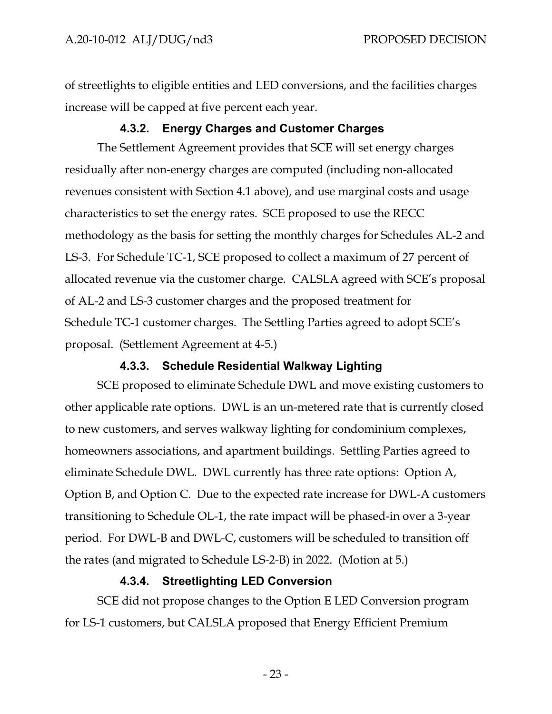of streetlights to eligible entities and LED conversions, and the facilities charges increase will be capped at five percent each year.

## **4.3.2. Energy Charges and Customer Charges**

<span id="page-26-0"></span>The Settlement Agreement provides that SCE will set energy charges residually after non-energy charges are computed (including non-allocated revenues consistent with Section 4.1 above), and use marginal costs and usage characteristics to set the energy rates. SCE proposed to use the RECC methodology as the basis for setting the monthly charges for Schedules AL-2 and LS-3. For Schedule TC-1, SCE proposed to collect a maximum of 27 percent of allocated revenue via the customer charge. CALSLA agreed with SCE's proposal of AL-2 and LS-3 customer charges and the proposed treatment for Schedule TC-1 customer charges. The Settling Parties agreed to adopt SCE's proposal. (Settlement Agreement at 4-5.)

#### **4.3.3. Schedule Residential Walkway Lighting**

<span id="page-26-1"></span>SCE proposed to eliminate Schedule DWL and move existing customers to other applicable rate options. DWL is an un-metered rate that is currently closed to new customers, and serves walkway lighting for condominium complexes, homeowners associations, and apartment buildings. Settling Parties agreed to eliminate Schedule DWL. DWL currently has three rate options: Option A, Option B, and Option C. Due to the expected rate increase for DWL-A customers transitioning to Schedule OL-1, the rate impact will be phased-in over a 3-year period. For DWL-B and DWL-C, customers will be scheduled to transition off the rates (and migrated to Schedule LS-2-B) in 2022. (Motion at 5.)

# **4.3.4. Streetlighting LED Conversion**

<span id="page-26-2"></span>SCE did not propose changes to the Option E LED Conversion program for LS-1 customers, but CALSLA proposed that Energy Efficient Premium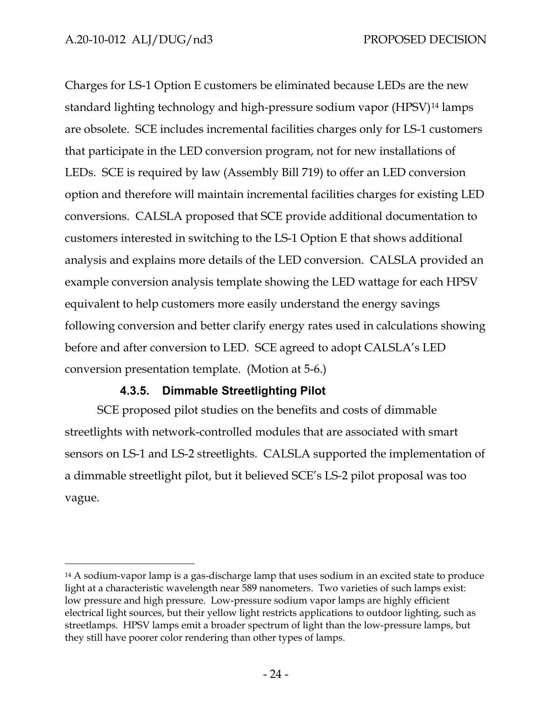Charges for LS-1 Option E customers be eliminated because LEDs are the new standard lighting technology and high-pressure sodium vapor (HPSV[\)14](#page-27-1) lamps are obsolete. SCE includes incremental facilities charges only for LS-1 customers that participate in the LED conversion program, not for new installations of LEDs. SCE is required by law (Assembly Bill 719) to offer an LED conversion option and therefore will maintain incremental facilities charges for existing LED conversions. CALSLA proposed that SCE provide additional documentation to customers interested in switching to the LS-1 Option E that shows additional analysis and explains more details of the LED conversion. CALSLA provided an example conversion analysis template showing the LED wattage for each HPSV equivalent to help customers more easily understand the energy savings following conversion and better clarify energy rates used in calculations showing before and after conversion to LED. SCE agreed to adopt CALSLA's LED conversion presentation template. (Motion at 5-6.)

# **4.3.5. Dimmable Streetlighting Pilot**

<span id="page-27-0"></span>SCE proposed pilot studies on the benefits and costs of dimmable streetlights with network-controlled modules that are associated with smart sensors on LS-1 and LS-2 streetlights. CALSLA supported the implementation of a dimmable streetlight pilot, but it believed SCE's LS-2 pilot proposal was too vague.

<span id="page-27-1"></span><sup>14</sup> A sodium-vapor lamp is a gas-discharge lamp that uses sodium in an excited state to produce light at a characteristic wavelength near 589 nanometers. Two varieties of such lamps exist: low pressure and high pressure. Low-pressure sodium vapor lamps are highly efficient electrical light sources, but their yellow light restricts applications to outdoor lighting, such as streetlamps. HPSV lamps emit a broader spectrum of light than the low-pressure lamps, but they still have poorer color rendering than other types of lamps.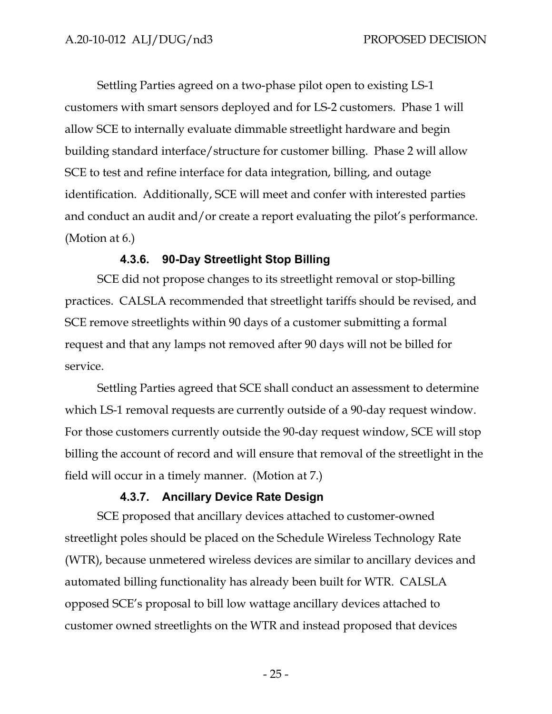Settling Parties agreed on a two-phase pilot open to existing LS-1 customers with smart sensors deployed and for LS-2 customers. Phase 1 will allow SCE to internally evaluate dimmable streetlight hardware and begin building standard interface/structure for customer billing. Phase 2 will allow SCE to test and refine interface for data integration, billing, and outage identification. Additionally, SCE will meet and confer with interested parties and conduct an audit and/or create a report evaluating the pilot's performance. (Motion at 6.)

#### **4.3.6. 90-Day Streetlight Stop Billing**

<span id="page-28-0"></span>SCE did not propose changes to its streetlight removal or stop-billing practices. CALSLA recommended that streetlight tariffs should be revised, and SCE remove streetlights within 90 days of a customer submitting a formal request and that any lamps not removed after 90 days will not be billed for service.

Settling Parties agreed that SCE shall conduct an assessment to determine which LS-1 removal requests are currently outside of a 90-day request window. For those customers currently outside the 90-day request window, SCE will stop billing the account of record and will ensure that removal of the streetlight in the field will occur in a timely manner. (Motion at 7.)

# **4.3.7. Ancillary Device Rate Design**

<span id="page-28-1"></span>SCE proposed that ancillary devices attached to customer-owned streetlight poles should be placed on the Schedule Wireless Technology Rate (WTR), because unmetered wireless devices are similar to ancillary devices and automated billing functionality has already been built for WTR. CALSLA opposed SCE's proposal to bill low wattage ancillary devices attached to customer owned streetlights on the WTR and instead proposed that devices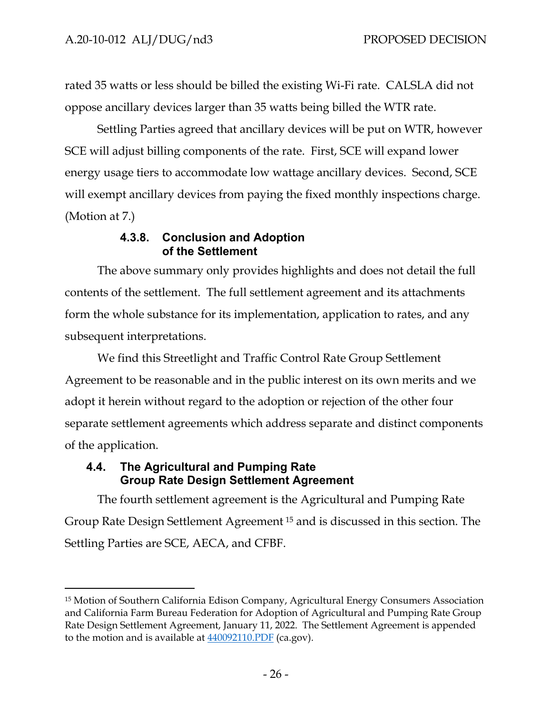rated 35 watts or less should be billed the existing Wi-Fi rate. CALSLA did not oppose ancillary devices larger than 35 watts being billed the WTR rate.

Settling Parties agreed that ancillary devices will be put on WTR, however SCE will adjust billing components of the rate. First, SCE will expand lower energy usage tiers to accommodate low wattage ancillary devices. Second, SCE will exempt ancillary devices from paying the fixed monthly inspections charge. (Motion at 7.)

## **4.3.8. Conclusion and Adoption of the Settlement**

<span id="page-29-0"></span>The above summary only provides highlights and does not detail the full contents of the settlement. The full settlement agreement and its attachments form the whole substance for its implementation, application to rates, and any subsequent interpretations.

We find this Streetlight and Traffic Control Rate Group Settlement Agreement to be reasonable and in the public interest on its own merits and we adopt it herein without regard to the adoption or rejection of the other four separate settlement agreements which address separate and distinct components of the application.

## <span id="page-29-1"></span>**4.4. The Agricultural and Pumping Rate Group Rate Design Settlement Agreement**

The fourth settlement agreement is the Agricultural and Pumping Rate Group Rate Design Settlement Agreement [15](#page-29-2) and is discussed in this section. The Settling Parties are SCE, AECA, and CFBF.

<span id="page-29-2"></span><sup>15</sup> Motion of Southern California Edison Company, Agricultural Energy Consumers Association and California Farm Bureau Federation for Adoption of Agricultural and Pumping Rate Group Rate Design Settlement Agreement, January 11, 2022. The Settlement Agreement is appended to the motion and is available at  $440092110.PDF$  (ca.gov).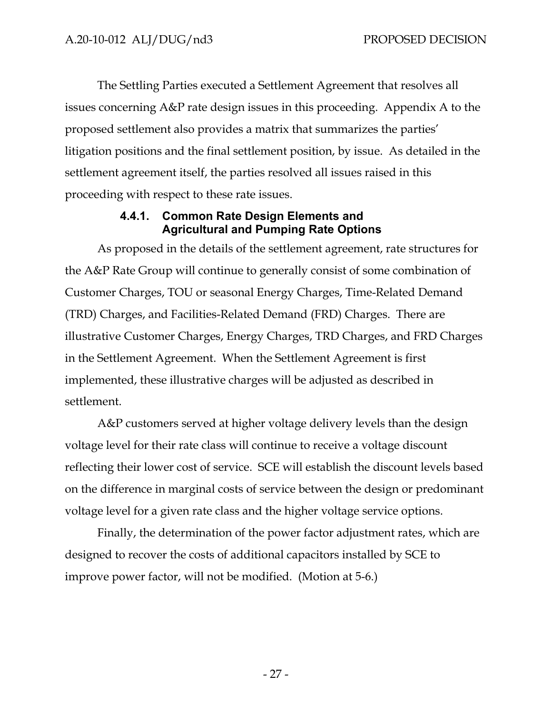The Settling Parties executed a Settlement Agreement that resolves all issues concerning A&P rate design issues in this proceeding. Appendix A to the proposed settlement also provides a matrix that summarizes the parties' litigation positions and the final settlement position, by issue. As detailed in the settlement agreement itself, the parties resolved all issues raised in this proceeding with respect to these rate issues.

#### **4.4.1. Common Rate Design Elements and Agricultural and Pumping Rate Options**

<span id="page-30-0"></span>As proposed in the details of the settlement agreement, rate structures for the A&P Rate Group will continue to generally consist of some combination of Customer Charges, TOU or seasonal Energy Charges, Time-Related Demand (TRD) Charges, and Facilities-Related Demand (FRD) Charges. There are illustrative Customer Charges, Energy Charges, TRD Charges, and FRD Charges in the Settlement Agreement. When the Settlement Agreement is first implemented, these illustrative charges will be adjusted as described in settlement.

A&P customers served at higher voltage delivery levels than the design voltage level for their rate class will continue to receive a voltage discount reflecting their lower cost of service. SCE will establish the discount levels based on the difference in marginal costs of service between the design or predominant voltage level for a given rate class and the higher voltage service options.

Finally, the determination of the power factor adjustment rates, which are designed to recover the costs of additional capacitors installed by SCE to improve power factor, will not be modified. (Motion at 5-6.)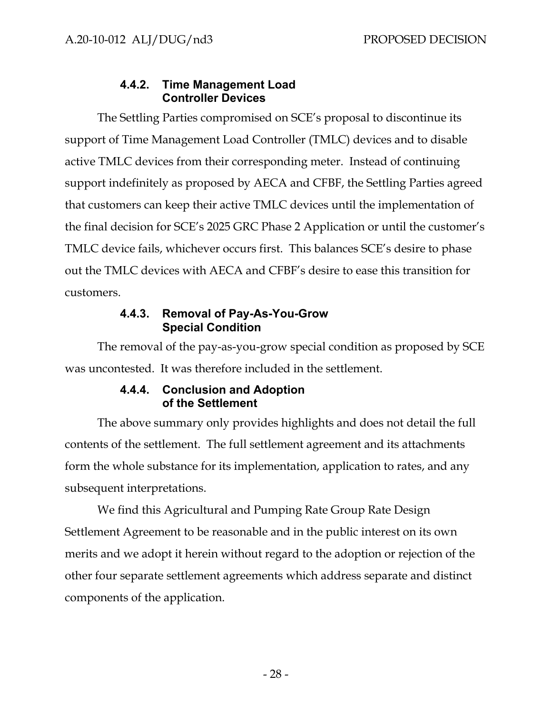## **4.4.2. Time Management Load Controller Devices**

<span id="page-31-0"></span>The Settling Parties compromised on SCE's proposal to discontinue its support of Time Management Load Controller (TMLC) devices and to disable active TMLC devices from their corresponding meter. Instead of continuing support indefinitely as proposed by AECA and CFBF, the Settling Parties agreed that customers can keep their active TMLC devices until the implementation of the final decision for SCE's 2025 GRC Phase 2 Application or until the customer's TMLC device fails, whichever occurs first. This balances SCE's desire to phase out the TMLC devices with AECA and CFBF's desire to ease this transition for customers.

## **4.4.3. Removal of Pay-As-You-Grow Special Condition**

<span id="page-31-1"></span>The removal of the pay-as-you-grow special condition as proposed by SCE was uncontested. It was therefore included in the settlement.

## **4.4.4. Conclusion and Adoption of the Settlement**

<span id="page-31-2"></span>The above summary only provides highlights and does not detail the full contents of the settlement. The full settlement agreement and its attachments form the whole substance for its implementation, application to rates, and any subsequent interpretations.

We find this Agricultural and Pumping Rate Group Rate Design Settlement Agreement to be reasonable and in the public interest on its own merits and we adopt it herein without regard to the adoption or rejection of the other four separate settlement agreements which address separate and distinct components of the application.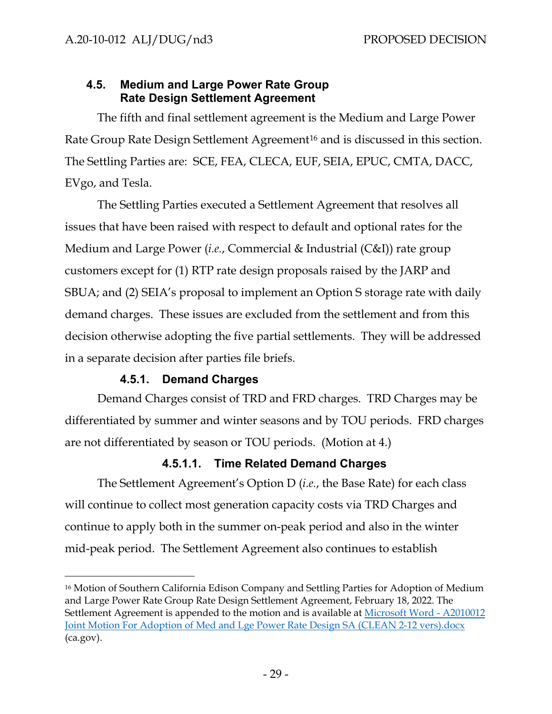# <span id="page-32-0"></span>**4.5. Medium and Large Power Rate Group Rate Design Settlement Agreement**

The fifth and final settlement agreement is the Medium and Large Power Rate Group Rate Design Settlement Agreement<sup>[16](#page-32-3)</sup> and is discussed in this section. The Settling Parties are: SCE, FEA, CLECA, EUF, SEIA, EPUC, CMTA, DACC, EVgo, and Tesla.

The Settling Parties executed a Settlement Agreement that resolves all issues that have been raised with respect to default and optional rates for the Medium and Large Power (*i.e.*, Commercial & Industrial (C&I)) rate group customers except for (1) RTP rate design proposals raised by the JARP and SBUA; and (2) SEIA's proposal to implement an Option S storage rate with daily demand charges. These issues are excluded from the settlement and from this decision otherwise adopting the five partial settlements. They will be addressed in a separate decision after parties file briefs.

# **4.5.1. Demand Charges**

<span id="page-32-1"></span>Demand Charges consist of TRD and FRD charges. TRD Charges may be differentiated by summer and winter seasons and by TOU periods. FRD charges are not differentiated by season or TOU periods. (Motion at 4.)

# **4.5.1.1. Time Related Demand Charges**

<span id="page-32-2"></span>The Settlement Agreement's Option D (*i.e.*, the Base Rate) for each class will continue to collect most generation capacity costs via TRD Charges and continue to apply both in the summer on-peak period and also in the winter mid-peak period. The Settlement Agreement also continues to establish

<span id="page-32-3"></span><sup>16</sup> Motion of Southern California Edison Company and Settling Parties for Adoption of Medium and Large Power Rate Group Rate Design Settlement Agreement, February 18, 2022. The Settlement Agreement is appended to the motion and is available at [Microsoft Word - A2010012](https://docs.cpuc.ca.gov/PublishedDocs/Efile/G000/M453/K953/453953138.PDF)  [Joint Motion For Adoption of Med and Lge Power Rate Design SA \(CLEAN 2-12 vers\).docx](https://docs.cpuc.ca.gov/PublishedDocs/Efile/G000/M453/K953/453953138.PDF) (ca.gov).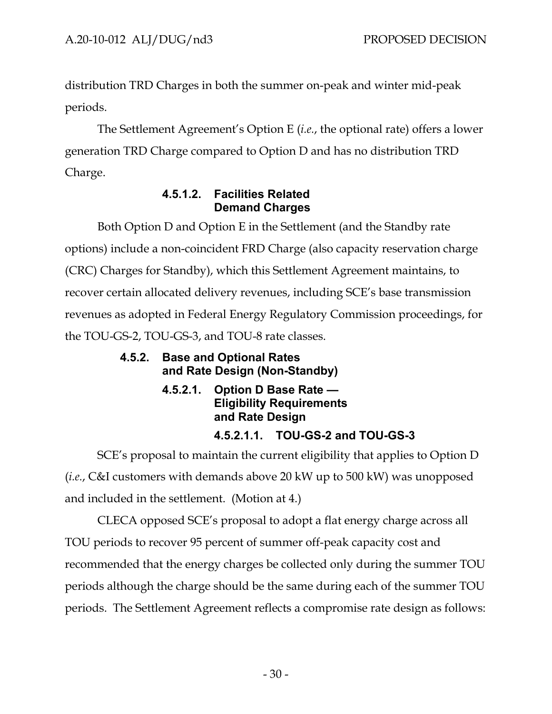distribution TRD Charges in both the summer on-peak and winter mid-peak periods.

The Settlement Agreement's Option E (*i.e.*, the optional rate) offers a lower generation TRD Charge compared to Option D and has no distribution TRD Charge.

# **4.5.1.2. Facilities Related Demand Charges**

<span id="page-33-0"></span>Both Option D and Option E in the Settlement (and the Standby rate options) include a non-coincident FRD Charge (also capacity reservation charge (CRC) Charges for Standby), which this Settlement Agreement maintains, to recover certain allocated delivery revenues, including SCE's base transmission revenues as adopted in Federal Energy Regulatory Commission proceedings, for the TOU-GS-2, TOU-GS-3, and TOU-8 rate classes.

# <span id="page-33-2"></span><span id="page-33-1"></span>**4.5.2. Base and Optional Rates and Rate Design (Non-Standby)**

**4.5.2.1. Option D Base Rate — Eligibility Requirements and Rate Design** 

# **4.5.2.1.1. TOU-GS-2 and TOU-GS-3**

<span id="page-33-3"></span>SCE's proposal to maintain the current eligibility that applies to Option D (*i.e.*, C&I customers with demands above 20 kW up to 500 kW) was unopposed and included in the settlement. (Motion at 4.)

CLECA opposed SCE's proposal to adopt a flat energy charge across all TOU periods to recover 95 percent of summer off-peak capacity cost and recommended that the energy charges be collected only during the summer TOU periods although the charge should be the same during each of the summer TOU periods. The Settlement Agreement reflects a compromise rate design as follows: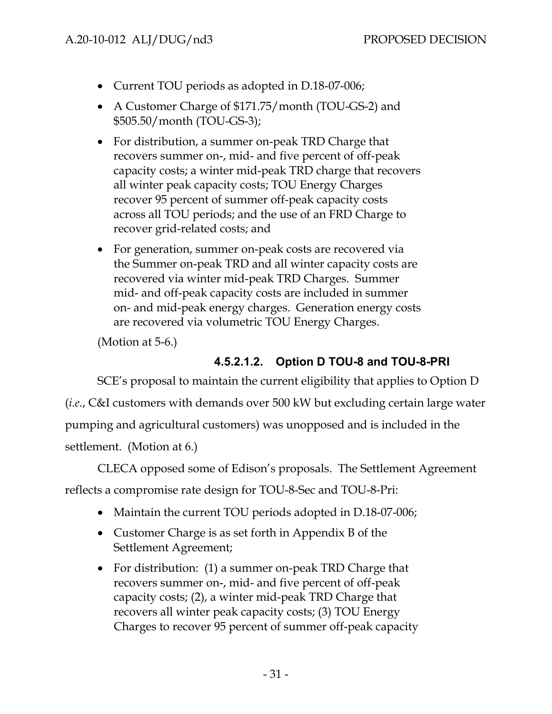- Current TOU periods as adopted in D.18-07-006;
- A Customer Charge of \$171.75/month (TOU-GS-2) and \$505.50/month (TOU-GS-3);
- For distribution, a summer on-peak TRD Charge that recovers summer on-, mid- and five percent of off-peak capacity costs; a winter mid-peak TRD charge that recovers all winter peak capacity costs; TOU Energy Charges recover 95 percent of summer off-peak capacity costs across all TOU periods; and the use of an FRD Charge to recover grid-related costs; and
- For generation, summer on-peak costs are recovered via the Summer on-peak TRD and all winter capacity costs are recovered via winter mid-peak TRD Charges. Summer mid- and off-peak capacity costs are included in summer on- and mid-peak energy charges. Generation energy costs are recovered via volumetric TOU Energy Charges.

(Motion at 5-6.)

# **4.5.2.1.2. Option D TOU-8 and TOU-8-PRI**

<span id="page-34-0"></span>SCE's proposal to maintain the current eligibility that applies to Option D (*i.e.*, C&I customers with demands over 500 kW but excluding certain large water pumping and agricultural customers) was unopposed and is included in the settlement. (Motion at 6.)

CLECA opposed some of Edison's proposals. The Settlement Agreement

reflects a compromise rate design for TOU-8-Sec and TOU-8-Pri:

- Maintain the current TOU periods adopted in D.18-07-006;
- Customer Charge is as set forth in Appendix B of the Settlement Agreement;
- For distribution: (1) a summer on-peak TRD Charge that recovers summer on-, mid- and five percent of off-peak capacity costs; (2), a winter mid-peak TRD Charge that recovers all winter peak capacity costs; (3) TOU Energy Charges to recover 95 percent of summer off-peak capacity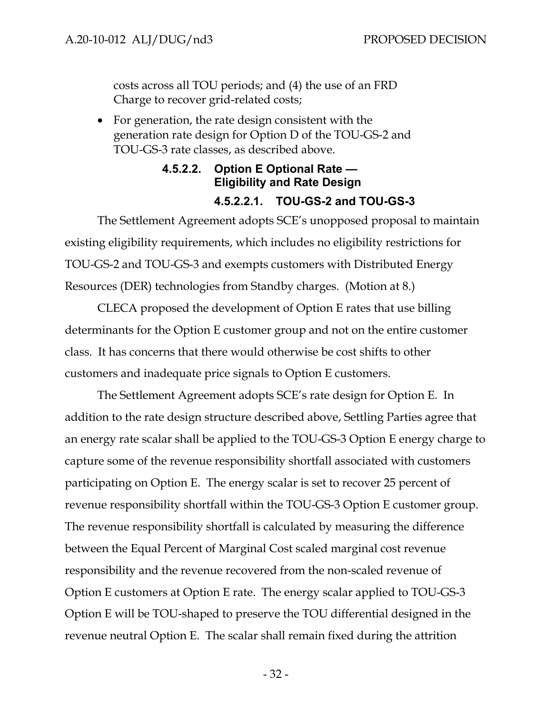costs across all TOU periods; and (4) the use of an FRD Charge to recover grid-related costs;

• For generation, the rate design consistent with the generation rate design for Option D of the TOU-GS-2 and TOU-GS-3 rate classes, as described above.

# **4.5.2.2. Option E Optional Rate — Eligibility and Rate Design 4.5.2.2.1. TOU-GS-2 and TOU-GS-3**

<span id="page-35-1"></span><span id="page-35-0"></span>The Settlement Agreement adopts SCE's unopposed proposal to maintain existing eligibility requirements, which includes no eligibility restrictions for TOU-GS-2 and TOU-GS-3 and exempts customers with Distributed Energy Resources (DER) technologies from Standby charges. (Motion at 8.)

CLECA proposed the development of Option E rates that use billing determinants for the Option E customer group and not on the entire customer class. It has concerns that there would otherwise be cost shifts to other customers and inadequate price signals to Option E customers.

The Settlement Agreement adopts SCE's rate design for Option E. In addition to the rate design structure described above, Settling Parties agree that an energy rate scalar shall be applied to the TOU-GS-3 Option E energy charge to capture some of the revenue responsibility shortfall associated with customers participating on Option E. The energy scalar is set to recover 25 percent of revenue responsibility shortfall within the TOU-GS-3 Option E customer group. The revenue responsibility shortfall is calculated by measuring the difference between the Equal Percent of Marginal Cost scaled marginal cost revenue responsibility and the revenue recovered from the non-scaled revenue of Option E customers at Option E rate. The energy scalar applied to TOU-GS-3 Option E will be TOU-shaped to preserve the TOU differential designed in the revenue neutral Option E. The scalar shall remain fixed during the attrition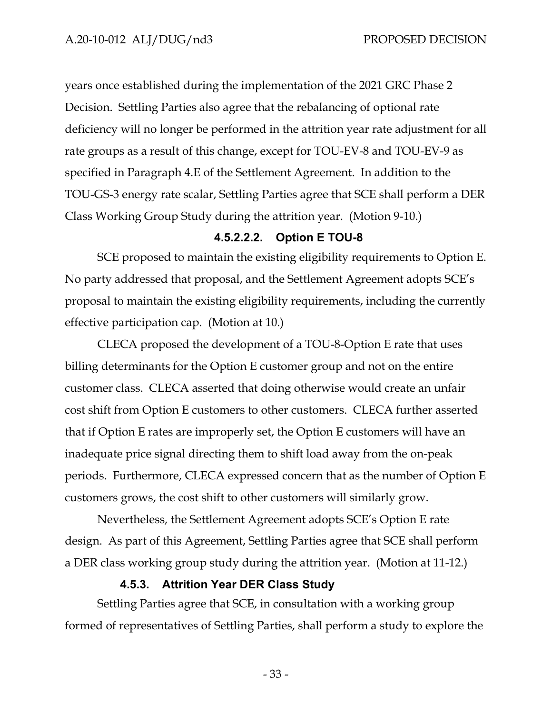years once established during the implementation of the 2021 GRC Phase 2 Decision. Settling Parties also agree that the rebalancing of optional rate deficiency will no longer be performed in the attrition year rate adjustment for all rate groups as a result of this change, except for TOU-EV-8 and TOU-EV-9 as specified in Paragraph 4.E of the Settlement Agreement. In addition to the TOU-GS-3 energy rate scalar, Settling Parties agree that SCE shall perform a DER Class Working Group Study during the attrition year. (Motion 9-10.)

#### **4.5.2.2.2. Option E TOU-8**

<span id="page-36-0"></span>SCE proposed to maintain the existing eligibility requirements to Option E. No party addressed that proposal, and the Settlement Agreement adopts SCE's proposal to maintain the existing eligibility requirements, including the currently effective participation cap. (Motion at 10.)

CLECA proposed the development of a TOU-8-Option E rate that uses billing determinants for the Option E customer group and not on the entire customer class. CLECA asserted that doing otherwise would create an unfair cost shift from Option E customers to other customers. CLECA further asserted that if Option E rates are improperly set, the Option E customers will have an inadequate price signal directing them to shift load away from the on-peak periods. Furthermore, CLECA expressed concern that as the number of Option E customers grows, the cost shift to other customers will similarly grow.

Nevertheless, the Settlement Agreement adopts SCE's Option E rate design. As part of this Agreement, Settling Parties agree that SCE shall perform a DER class working group study during the attrition year. (Motion at 11-12.)

#### **4.5.3. Attrition Year DER Class Study**

<span id="page-36-1"></span>Settling Parties agree that SCE, in consultation with a working group formed of representatives of Settling Parties, shall perform a study to explore the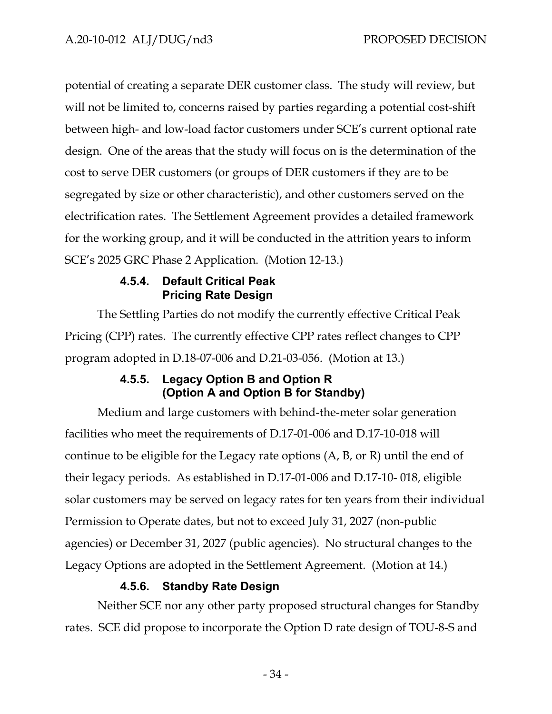potential of creating a separate DER customer class. The study will review, but will not be limited to, concerns raised by parties regarding a potential cost-shift between high- and low-load factor customers under SCE's current optional rate design. One of the areas that the study will focus on is the determination of the cost to serve DER customers (or groups of DER customers if they are to be segregated by size or other characteristic), and other customers served on the electrification rates. The Settlement Agreement provides a detailed framework for the working group, and it will be conducted in the attrition years to inform SCE's 2025 GRC Phase 2 Application. (Motion 12-13.)

# **4.5.4. Default Critical Peak Pricing Rate Design**

<span id="page-37-0"></span>The Settling Parties do not modify the currently effective Critical Peak Pricing (CPP) rates. The currently effective CPP rates reflect changes to CPP program adopted in D.18-07-006 and D.21-03-056. (Motion at 13.)

# **4.5.5. Legacy Option B and Option R (Option A and Option B for Standby)**

<span id="page-37-1"></span>Medium and large customers with behind-the-meter solar generation facilities who meet the requirements of D.17-01-006 and D.17-10-018 will continue to be eligible for the Legacy rate options (A, B, or R) until the end of their legacy periods. As established in D.17-01-006 and D.17-10- 018, eligible solar customers may be served on legacy rates for ten years from their individual Permission to Operate dates, but not to exceed July 31, 2027 (non-public agencies) or December 31, 2027 (public agencies). No structural changes to the Legacy Options are adopted in the Settlement Agreement. (Motion at 14.)

# **4.5.6. Standby Rate Design**

<span id="page-37-2"></span>Neither SCE nor any other party proposed structural changes for Standby rates. SCE did propose to incorporate the Option D rate design of TOU-8-S and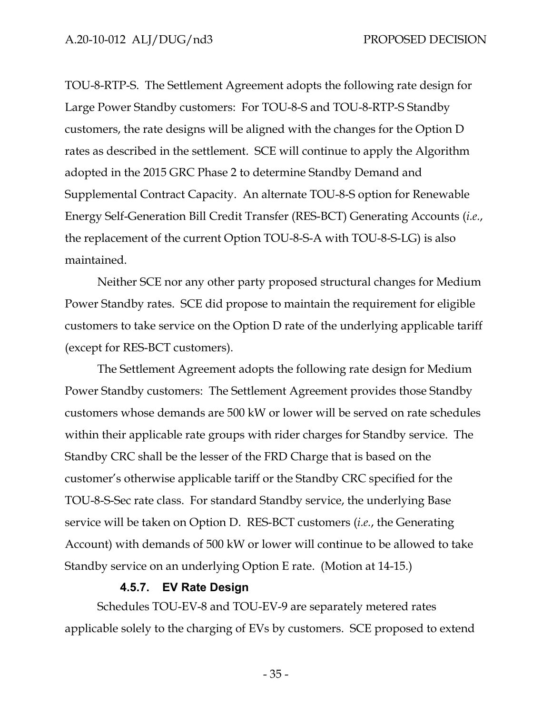TOU-8-RTP-S. The Settlement Agreement adopts the following rate design for Large Power Standby customers: For TOU-8-S and TOU-8-RTP-S Standby customers, the rate designs will be aligned with the changes for the Option D rates as described in the settlement. SCE will continue to apply the Algorithm adopted in the 2015 GRC Phase 2 to determine Standby Demand and Supplemental Contract Capacity. An alternate TOU-8-S option for Renewable Energy Self-Generation Bill Credit Transfer (RES-BCT) Generating Accounts (*i.e.*, the replacement of the current Option TOU-8-S-A with TOU-8-S-LG) is also maintained.

Neither SCE nor any other party proposed structural changes for Medium Power Standby rates. SCE did propose to maintain the requirement for eligible customers to take service on the Option D rate of the underlying applicable tariff (except for RES-BCT customers).

The Settlement Agreement adopts the following rate design for Medium Power Standby customers: The Settlement Agreement provides those Standby customers whose demands are 500 kW or lower will be served on rate schedules within their applicable rate groups with rider charges for Standby service. The Standby CRC shall be the lesser of the FRD Charge that is based on the customer's otherwise applicable tariff or the Standby CRC specified for the TOU-8-S-Sec rate class. For standard Standby service, the underlying Base service will be taken on Option D. RES-BCT customers (*i.e.*, the Generating Account) with demands of 500 kW or lower will continue to be allowed to take Standby service on an underlying Option E rate. (Motion at 14-15.)

#### **4.5.7. EV Rate Design**

<span id="page-38-0"></span>Schedules TOU-EV-8 and TOU-EV-9 are separately metered rates applicable solely to the charging of EVs by customers. SCE proposed to extend

- 35 -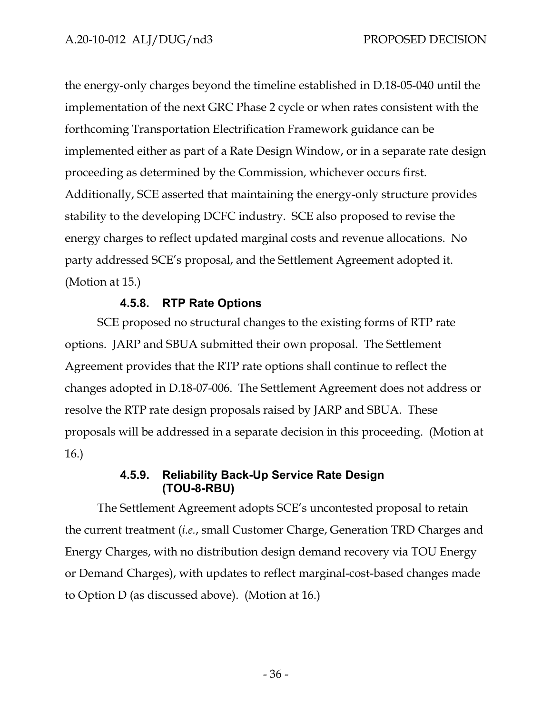the energy-only charges beyond the timeline established in D.18-05-040 until the implementation of the next GRC Phase 2 cycle or when rates consistent with the forthcoming Transportation Electrification Framework guidance can be implemented either as part of a Rate Design Window, or in a separate rate design proceeding as determined by the Commission, whichever occurs first. Additionally, SCE asserted that maintaining the energy-only structure provides stability to the developing DCFC industry. SCE also proposed to revise the energy charges to reflect updated marginal costs and revenue allocations. No party addressed SCE's proposal, and the Settlement Agreement adopted it. (Motion at 15.)

#### **4.5.8. RTP Rate Options**

<span id="page-39-0"></span>SCE proposed no structural changes to the existing forms of RTP rate options. JARP and SBUA submitted their own proposal. The Settlement Agreement provides that the RTP rate options shall continue to reflect the changes adopted in D.18-07-006. The Settlement Agreement does not address or resolve the RTP rate design proposals raised by JARP and SBUA. These proposals will be addressed in a separate decision in this proceeding. (Motion at 16.)

# **4.5.9. Reliability Back-Up Service Rate Design (TOU-8-RBU)**

<span id="page-39-1"></span>The Settlement Agreement adopts SCE's uncontested proposal to retain the current treatment (*i.e.*, small Customer Charge, Generation TRD Charges and Energy Charges, with no distribution design demand recovery via TOU Energy or Demand Charges), with updates to reflect marginal-cost-based changes made to Option D (as discussed above). (Motion at 16.)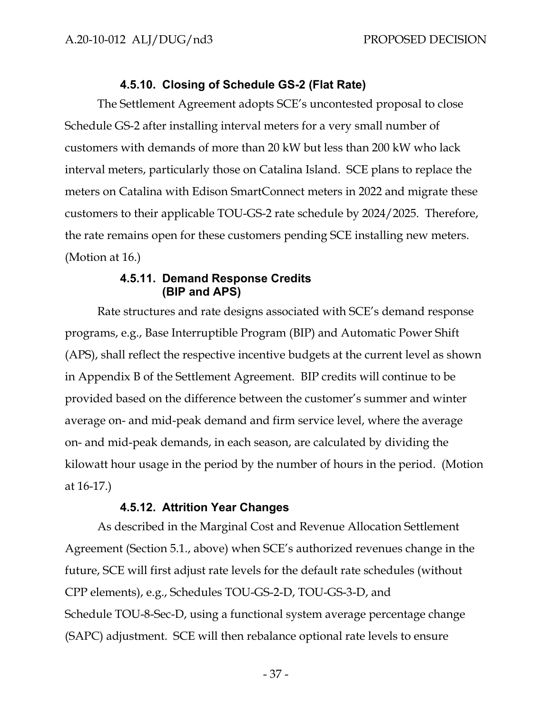#### **4.5.10. Closing of Schedule GS-2 (Flat Rate)**

<span id="page-40-0"></span>The Settlement Agreement adopts SCE's uncontested proposal to close Schedule GS-2 after installing interval meters for a very small number of customers with demands of more than 20 kW but less than 200 kW who lack interval meters, particularly those on Catalina Island. SCE plans to replace the meters on Catalina with Edison SmartConnect meters in 2022 and migrate these customers to their applicable TOU-GS-2 rate schedule by 2024/2025. Therefore, the rate remains open for these customers pending SCE installing new meters. (Motion at 16.)

#### **4.5.11. Demand Response Credits (BIP and APS)**

<span id="page-40-1"></span>Rate structures and rate designs associated with SCE's demand response programs, e.g., Base Interruptible Program (BIP) and Automatic Power Shift (APS), shall reflect the respective incentive budgets at the current level as shown in Appendix B of the Settlement Agreement. BIP credits will continue to be provided based on the difference between the customer's summer and winter average on- and mid-peak demand and firm service level, where the average on- and mid-peak demands, in each season, are calculated by dividing the kilowatt hour usage in the period by the number of hours in the period. (Motion at 16-17.)

#### **4.5.12. Attrition Year Changes**

<span id="page-40-2"></span>As described in the Marginal Cost and Revenue Allocation Settlement Agreement (Section 5.1., above) when SCE's authorized revenues change in the future, SCE will first adjust rate levels for the default rate schedules (without CPP elements), e.g., Schedules TOU-GS-2-D, TOU-GS-3-D, and Schedule TOU-8-Sec-D, using a functional system average percentage change (SAPC) adjustment. SCE will then rebalance optional rate levels to ensure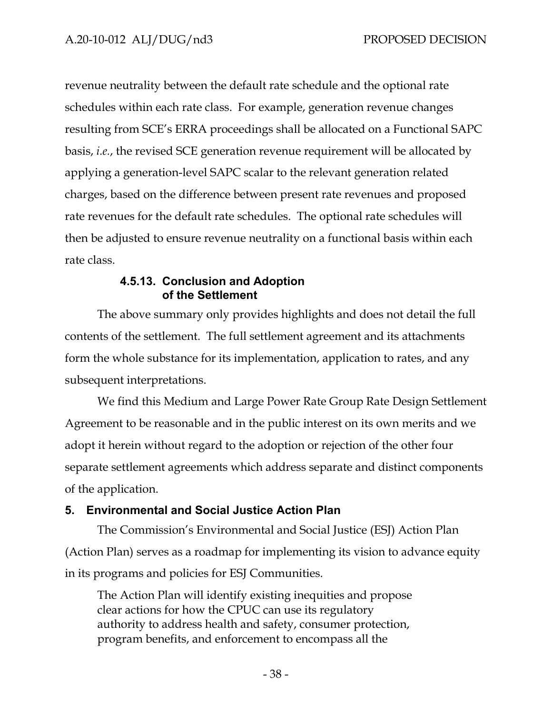revenue neutrality between the default rate schedule and the optional rate schedules within each rate class. For example, generation revenue changes resulting from SCE's ERRA proceedings shall be allocated on a Functional SAPC basis, *i.e.*, the revised SCE generation revenue requirement will be allocated by applying a generation-level SAPC scalar to the relevant generation related charges, based on the difference between present rate revenues and proposed rate revenues for the default rate schedules. The optional rate schedules will then be adjusted to ensure revenue neutrality on a functional basis within each rate class.

## **4.5.13. Conclusion and Adoption of the Settlement**

<span id="page-41-0"></span>The above summary only provides highlights and does not detail the full contents of the settlement. The full settlement agreement and its attachments form the whole substance for its implementation, application to rates, and any subsequent interpretations.

We find this Medium and Large Power Rate Group Rate Design Settlement Agreement to be reasonable and in the public interest on its own merits and we adopt it herein without regard to the adoption or rejection of the other four separate settlement agreements which address separate and distinct components of the application.

# <span id="page-41-1"></span>**5. Environmental and Social Justice Action Plan**

The Commission's Environmental and Social Justice (ESJ) Action Plan (Action Plan) serves as a roadmap for implementing its vision to advance equity in its programs and policies for ESJ Communities.

The Action Plan will identify existing inequities and propose clear actions for how the CPUC can use its regulatory authority to address health and safety, consumer protection, program benefits, and enforcement to encompass all the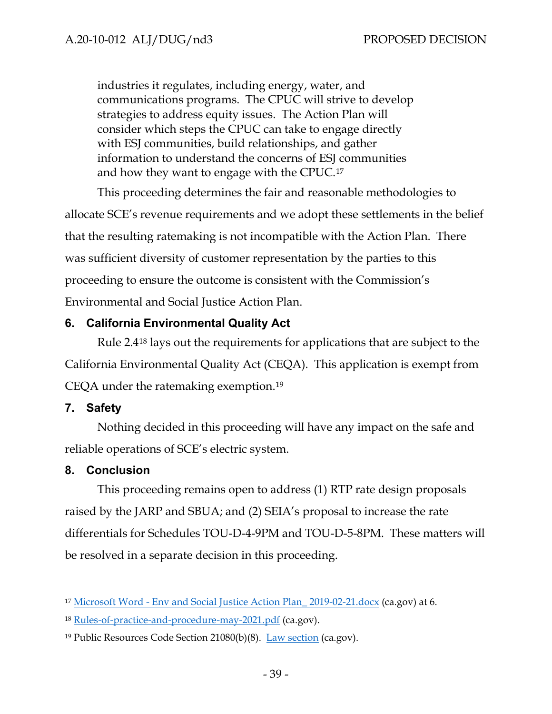industries it regulates, including energy, water, and communications programs. The CPUC will strive to develop strategies to address equity issues. The Action Plan will consider which steps the CPUC can take to engage directly with ESJ communities, build relationships, and gather information to understand the concerns of ESJ communities and how they want to engage with the CPUC.[17](#page-42-3)

This proceeding determines the fair and reasonable methodologies to allocate SCE's revenue requirements and we adopt these settlements in the belief that the resulting ratemaking is not incompatible with the Action Plan. There was sufficient diversity of customer representation by the parties to this proceeding to ensure the outcome is consistent with the Commission's Environmental and Social Justice Action Plan.

## <span id="page-42-0"></span>**6. California Environmental Quality Act**

Rule 2.4[18](#page-42-4) lays out the requirements for applications that are subject to the California Environmental Quality Act (CEQA). This application is exempt from CEQA under the ratemaking exemption.[19](#page-42-5)

## <span id="page-42-1"></span>**7. Safety**

Nothing decided in this proceeding will have any impact on the safe and reliable operations of SCE's electric system.

#### <span id="page-42-2"></span>**8. Conclusion**

This proceeding remains open to address (1) RTP rate design proposals raised by the JARP and SBUA; and (2) SEIA's proposal to increase the rate differentials for Schedules TOU-D-4-9PM and TOU-D-5-8PM. These matters will be resolved in a separate decision in this proceeding.

<span id="page-42-3"></span><sup>17</sup> [Microsoft Word - Env and Social Justice Action](https://www.cpuc.ca.gov/-/media/cpuc-website/divisions/news-and-outreach/documents/news-office/key-issues/esj/environmental-and-social-justice.pdf) Plan\_ 2019-02-21.docx (ca.gov) at 6.

<span id="page-42-4"></span><sup>18</sup> [Rules-of-practice-and-procedure-may-2021.pdf](https://www.cpuc.ca.gov/-/media/cpuc-website/divisions/administrative-law-judge-division/documents/rules-of-practice-and-procedure-may-2021.pdf) (ca.gov).

<span id="page-42-5"></span><sup>&</sup>lt;sup>19</sup> Public Resources Code Section  $21080(b)(8)$ . [Law section](https://leginfo.legislature.ca.gov/faces/codes_displaySection.xhtml?sectionNum=21080&lawCode=PRC) (ca.gov).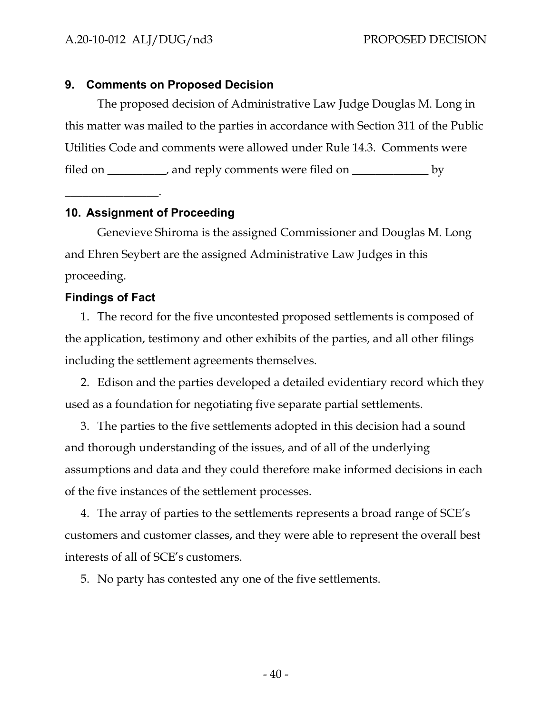#### <span id="page-43-0"></span>**9. Comments on Proposed Decision**

The proposed decision of Administrative Law Judge Douglas M. Long in this matter was mailed to the parties in accordance with Section 311 of the Public Utilities Code and comments were allowed under Rule 14.3. Comments were filed on \_\_\_\_\_\_\_\_\_, and reply comments were filed on \_\_\_\_\_\_\_\_\_\_\_\_\_ by

# <span id="page-43-1"></span>**10. Assignment of Proceeding**

Genevieve Shiroma is the assigned Commissioner and Douglas M. Long and Ehren Seybert are the assigned Administrative Law Judges in this proceeding.

## <span id="page-43-2"></span>**Findings of Fact**

\_\_\_\_\_\_\_\_\_\_\_\_\_\_\_\_.

1. The record for the five uncontested proposed settlements is composed of the application, testimony and other exhibits of the parties, and all other filings including the settlement agreements themselves.

2. Edison and the parties developed a detailed evidentiary record which they used as a foundation for negotiating five separate partial settlements.

3. The parties to the five settlements adopted in this decision had a sound and thorough understanding of the issues, and of all of the underlying assumptions and data and they could therefore make informed decisions in each of the five instances of the settlement processes.

4. The array of parties to the settlements represents a broad range of SCE's customers and customer classes, and they were able to represent the overall best interests of all of SCE's customers.

5. No party has contested any one of the five settlements.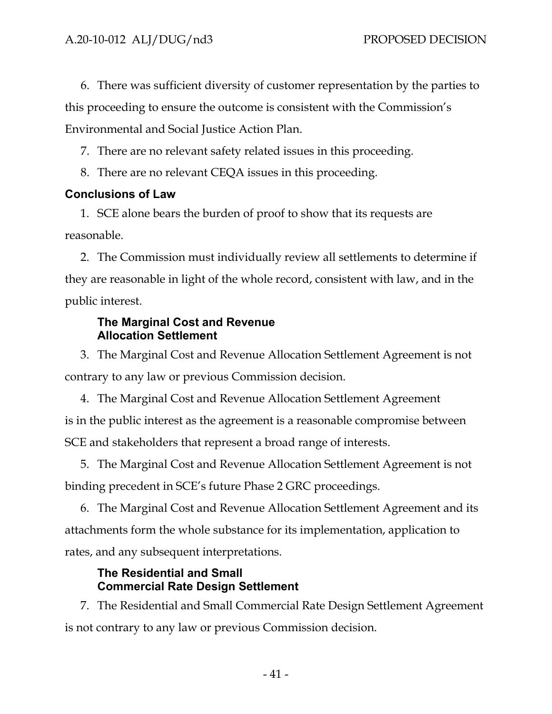6. There was sufficient diversity of customer representation by the parties to this proceeding to ensure the outcome is consistent with the Commission's Environmental and Social Justice Action Plan.

7. There are no relevant safety related issues in this proceeding.

8. There are no relevant CEQA issues in this proceeding.

# <span id="page-44-0"></span>**Conclusions of Law**

1. SCE alone bears the burden of proof to show that its requests are reasonable.

2. The Commission must individually review all settlements to determine if they are reasonable in light of the whole record, consistent with law, and in the public interest.

## **The Marginal Cost and Revenue Allocation Settlement**

3. The Marginal Cost and Revenue Allocation Settlement Agreement is not contrary to any law or previous Commission decision.

4. The Marginal Cost and Revenue Allocation Settlement Agreement is in the public interest as the agreement is a reasonable compromise between SCE and stakeholders that represent a broad range of interests.

5. The Marginal Cost and Revenue Allocation Settlement Agreement is not binding precedent in SCE's future Phase 2 GRC proceedings.

6. The Marginal Cost and Revenue Allocation Settlement Agreement and its attachments form the whole substance for its implementation, application to rates, and any subsequent interpretations.

# **The Residential and Small Commercial Rate Design Settlement**

7. The Residential and Small Commercial Rate Design Settlement Agreement is not contrary to any law or previous Commission decision.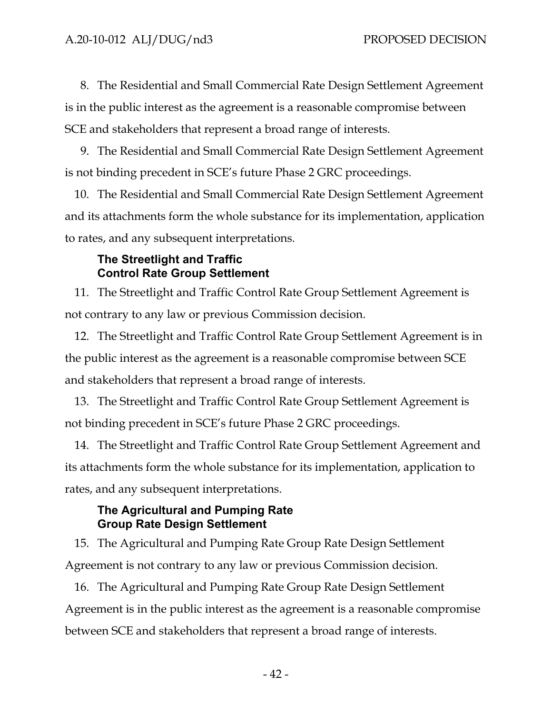8. The Residential and Small Commercial Rate Design Settlement Agreement is in the public interest as the agreement is a reasonable compromise between SCE and stakeholders that represent a broad range of interests.

9. The Residential and Small Commercial Rate Design Settlement Agreement is not binding precedent in SCE's future Phase 2 GRC proceedings.

10. The Residential and Small Commercial Rate Design Settlement Agreement and its attachments form the whole substance for its implementation, application to rates, and any subsequent interpretations.

#### **The Streetlight and Traffic Control Rate Group Settlement**

11. The Streetlight and Traffic Control Rate Group Settlement Agreement is not contrary to any law or previous Commission decision.

12. The Streetlight and Traffic Control Rate Group Settlement Agreement is in the public interest as the agreement is a reasonable compromise between SCE and stakeholders that represent a broad range of interests.

13. The Streetlight and Traffic Control Rate Group Settlement Agreement is not binding precedent in SCE's future Phase 2 GRC proceedings.

14. The Streetlight and Traffic Control Rate Group Settlement Agreement and its attachments form the whole substance for its implementation, application to rates, and any subsequent interpretations.

## **The Agricultural and Pumping Rate Group Rate Design Settlement**

15. The Agricultural and Pumping Rate Group Rate Design Settlement Agreement is not contrary to any law or previous Commission decision.

16. The Agricultural and Pumping Rate Group Rate Design Settlement Agreement is in the public interest as the agreement is a reasonable compromise between SCE and stakeholders that represent a broad range of interests.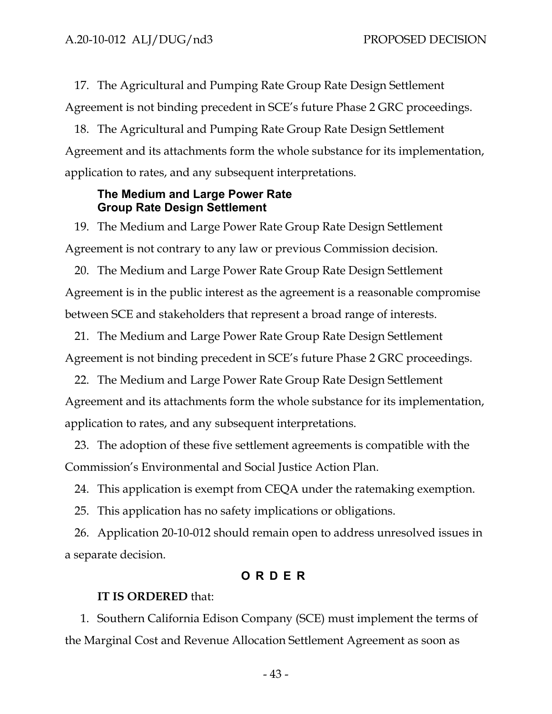17. The Agricultural and Pumping Rate Group Rate Design Settlement Agreement is not binding precedent in SCE's future Phase 2 GRC proceedings.

18. The Agricultural and Pumping Rate Group Rate Design Settlement Agreement and its attachments form the whole substance for its implementation, application to rates, and any subsequent interpretations.

#### **The Medium and Large Power Rate Group Rate Design Settlement**

19. The Medium and Large Power Rate Group Rate Design Settlement Agreement is not contrary to any law or previous Commission decision.

20. The Medium and Large Power Rate Group Rate Design Settlement Agreement is in the public interest as the agreement is a reasonable compromise between SCE and stakeholders that represent a broad range of interests.

21. The Medium and Large Power Rate Group Rate Design Settlement Agreement is not binding precedent in SCE's future Phase 2 GRC proceedings.

22. The Medium and Large Power Rate Group Rate Design Settlement Agreement and its attachments form the whole substance for its implementation, application to rates, and any subsequent interpretations.

23. The adoption of these five settlement agreements is compatible with the Commission's Environmental and Social Justice Action Plan.

24. This application is exempt from CEQA under the ratemaking exemption.

25. This application has no safety implications or obligations.

26. Application 20-10-012 should remain open to address unresolved issues in a separate decision.

# **O RDER**

#### <span id="page-46-0"></span>**IT IS ORDERED** that:

1. Southern California Edison Company (SCE) must implement the terms of the Marginal Cost and Revenue Allocation Settlement Agreement as soon as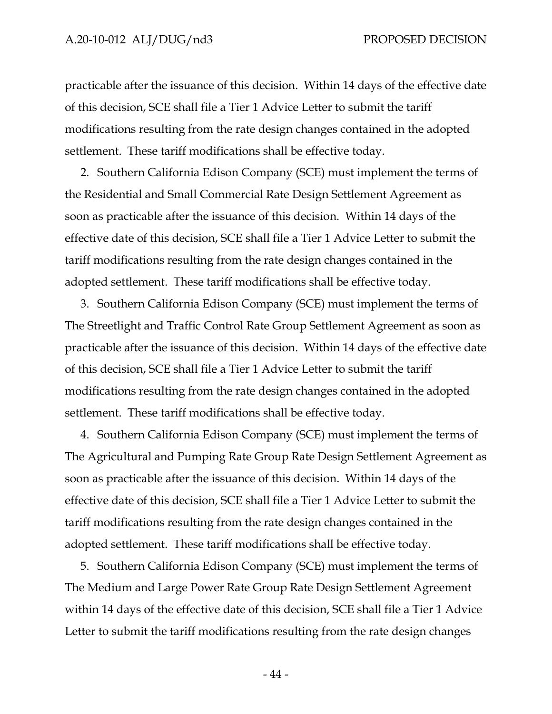practicable after the issuance of this decision. Within 14 days of the effective date of this decision, SCE shall file a Tier 1 Advice Letter to submit the tariff modifications resulting from the rate design changes contained in the adopted settlement. These tariff modifications shall be effective today.

2. Southern California Edison Company (SCE) must implement the terms of the Residential and Small Commercial Rate Design Settlement Agreement as soon as practicable after the issuance of this decision. Within 14 days of the effective date of this decision, SCE shall file a Tier 1 Advice Letter to submit the tariff modifications resulting from the rate design changes contained in the adopted settlement. These tariff modifications shall be effective today.

3. Southern California Edison Company (SCE) must implement the terms of The Streetlight and Traffic Control Rate Group Settlement Agreement as soon as practicable after the issuance of this decision. Within 14 days of the effective date of this decision, SCE shall file a Tier 1 Advice Letter to submit the tariff modifications resulting from the rate design changes contained in the adopted settlement. These tariff modifications shall be effective today.

4. Southern California Edison Company (SCE) must implement the terms of The Agricultural and Pumping Rate Group Rate Design Settlement Agreement as soon as practicable after the issuance of this decision. Within 14 days of the effective date of this decision, SCE shall file a Tier 1 Advice Letter to submit the tariff modifications resulting from the rate design changes contained in the adopted settlement. These tariff modifications shall be effective today.

5. Southern California Edison Company (SCE) must implement the terms of The Medium and Large Power Rate Group Rate Design Settlement Agreement within 14 days of the effective date of this decision, SCE shall file a Tier 1 Advice Letter to submit the tariff modifications resulting from the rate design changes

- 44 -